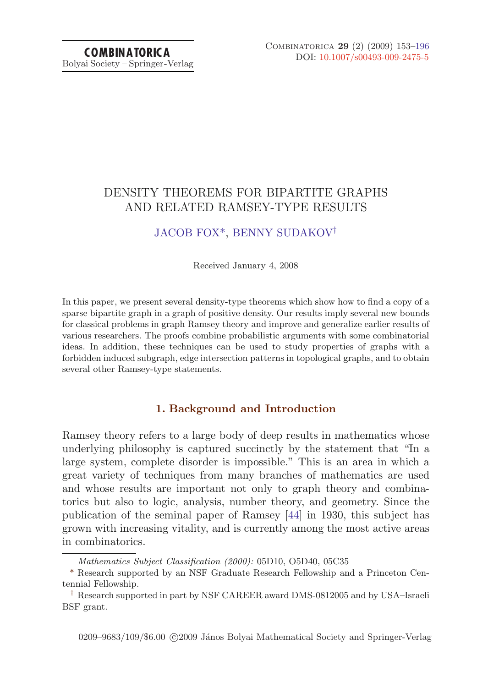# DENSITY THEOREMS FOR BIPARTITE GRAPHS AND RELATED RAMSEY-TYPE RESULTS

## [JACOB FOX\\*](#page-43-0), [BENNY SUDAKOV](#page-43-0)†

Received January 4, 2008

In this paper, we present several density-type theorems which show how to find a copy of a sparse bipartite graph in a graph of positive density. Our results imply several new bounds for classical problems in graph Ramsey theory and improve and generalize earlier results of various researchers. The proofs combine probabilistic arguments with some combinatorial ideas. In addition, these techniques can be used to study properties of graphs with a forbidden induced subgraph, edge intersection patterns in topological graphs, and to obtain several other Ramsey-type statements.

## **1. Background and Introduction**

Ramsey theory refers to a large body of deep results in mathematics whose underlying philosophy is captured succinctly by the statement that "In a large system, complete disorder is impossible." This is an area in which a great variety of techniques from many branches of mathematics are used and whose results are important not only to graph theory and combinatorics but also to logic, analysis, number theory, and geometry. Since the publication of the seminal paper of Ramsey [\[44](#page-43-0)] in 1930, this subject has grown with increasing vitality, and is currently among the most active areas in combinatorics.

Mathematics Subject Classification (2000): 05D10, O5D40, 05C35

<sup>\*</sup> Research supported by an NSF Graduate Research Fellowship and a Princeton Centennial Fellowship.

<sup>†</sup> Research supported in part by NSF CAREER award DMS-0812005 and by USA–Israeli BSF grant.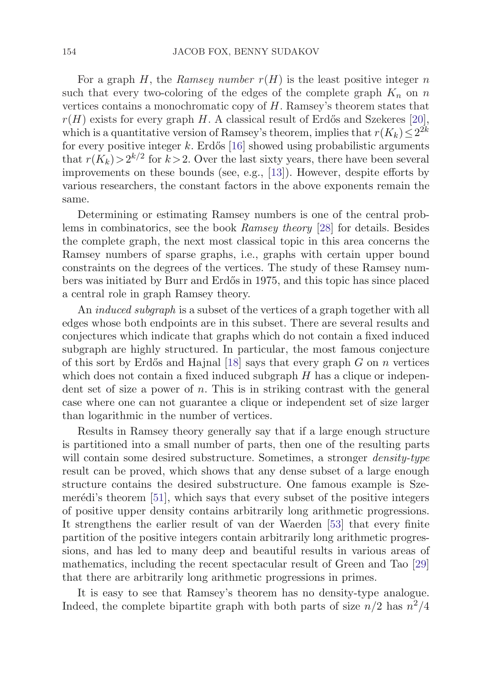For a graph H, the Ramsey number  $r(H)$  is the least positive integer n such that every two-coloring of the edges of the complete graph  $K_n$  on n vertices contains a monochromatic copy of  $H$ . Ramsey's theorem states that  $r(H)$  exists for every graph H. A classical result of Erdős and Szekeres [\[20](#page-41-0)], which is a quantitative version of Ramsey's theorem, implies that  $r(K_k) \leq 2^{2k}$ for every positive integer k. Erdős  $[16]$  showed using probabilistic arguments that  $r(K_k) > 2^{k/2}$  for  $k > 2$ . Over the last sixty years, there have been several improvements on these bounds (see, e.g., [\[13](#page-41-0)]). However, despite efforts by various researchers, the constant factors in the above exponents remain the same.

Determining or estimating Ramsey numbers is one of the central problems in combinatorics, see the book *Ramsey theory* [\[28\]](#page-42-0) for details. Besides the complete graph, the next most classical topic in this area concerns the Ramsey numbers of sparse graphs, i.e., graphs with certain upper bound constraints on the degrees of the vertices. The study of these Ramsey numbers was initiated by Burr and Erd˝os in 1975, and this topic has since placed a central role in graph Ramsey theory.

An induced subgraph is a subset of the vertices of a graph together with all edges whose both endpoints are in this subset. There are several results and conjectures which indicate that graphs which do not contain a fixed induced subgraph are highly structured. In particular, the most famous conjecture of this sort by Erdős and Hajnal [\[18\]](#page-41-0) says that every graph  $G$  on  $n$  vertices which does not contain a fixed induced subgraph  $H$  has a clique or independent set of size a power of  $n$ . This is in striking contrast with the general case where one can not guarantee a clique or independent set of size larger than logarithmic in the number of vertices.

Results in Ramsey theory generally say that if a large enough structure is partitioned into a small number of parts, then one of the resulting parts will contain some desired substructure. Sometimes, a stronger *density-type* result can be proved, which shows that any dense subset of a large enough structure contains the desired substructure. One famous example is Szemerédi's theorem  $[51]$  $[51]$ , which says that every subset of the positive integers of positive upper density contains arbitrarily long arithmetic progressions. It strengthens the earlier result of van der Waerden [\[53\]](#page-43-0) that every finite partition of the positive integers contain arbitrarily long arithmetic progressions, and has led to many deep and beautiful results in various areas of mathematics, including the recent spectacular result of Green and Tao [\[29](#page-42-0)] that there are arbitrarily long arithmetic progressions in primes.

It is easy to see that Ramsey's theorem has no density-type analogue. Indeed, the complete bipartite graph with both parts of size  $n/2$  has  $n^2/4$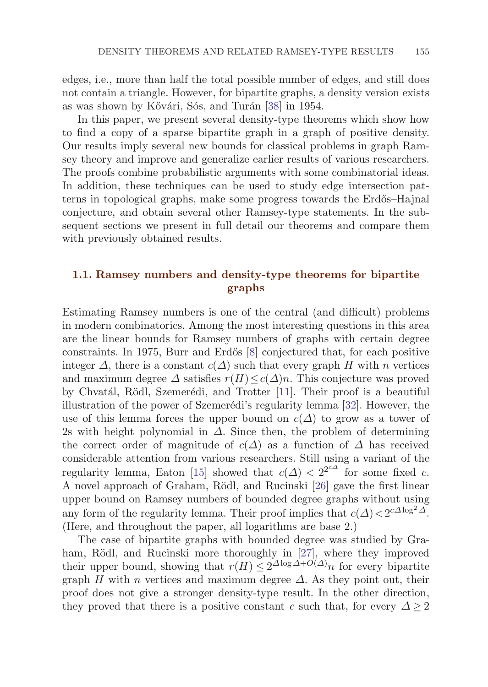edges, i.e., more than half the total possible number of edges, and still does not contain a triangle. However, for bipartite graphs, a density version exists as was shown by Kővári, Sós, and Turán [[38](#page-42-0)] in 1954.

In this paper, we present several density-type theorems which show how to find a copy of a sparse bipartite graph in a graph of positive density. Our results imply several new bounds for classical problems in graph Ramsey theory and improve and generalize earlier results of various researchers. The proofs combine probabilistic arguments with some combinatorial ideas. In addition, these techniques can be used to study edge intersection patterns in topological graphs, make some progress towards the Erdős–Hajnal conjecture, and obtain several other Ramsey-type statements. In the subsequent sections we present in full detail our theorems and compare them with previously obtained results.

## **1.1. Ramsey numbers and density-type theorems for bipartite graphs**

Estimating Ramsey numbers is one of the central (and difficult) problems in modern combinatorics. Among the most interesting questions in this area are the linear bounds for Ramsey numbers of graphs with certain degree constraints. In 1975, Burr and Erdős  $[8]$  conjectured that, for each positive integer  $\Delta$ , there is a constant  $c(\Delta)$  such that every graph H with n vertices and maximum degree  $\Delta$  satisfies  $r(H) \leq c(\Delta)n$ . This conjecture was proved by Chvatál, Rödl, Szemerédi, and Trotter [\[11](#page-41-0)]. Their proof is a beautiful illustration of the power of Szemerédi's regularity lemma [[32\]](#page-42-0). However, the use of this lemma forces the upper bound on  $c(\Delta)$  to grow as a tower of 2s with height polynomial in  $\Delta$ . Since then, the problem of determining the correct order of magnitude of  $c(\Delta)$  as a function of  $\Delta$  has received considerable attention from various researchers. Still using a variant of the regularity lemma, Eaton [[15](#page-41-0)] showed that  $c(\Delta) < 2^{2c\Delta}$  for some fixed c. A novel approach of Graham, Rödl, and Rucinski [\[26](#page-42-0)] gave the first linear upper bound on Ramsey numbers of bounded degree graphs without using any form of the regularity lemma. Their proof implies that  $c(\Delta) < 2^{c\Delta \log^2 \Delta}$ . (Here, and throughout the paper, all logarithms are base 2.)

The case of bipartite graphs with bounded degree was studied by Gra-ham, Rödl, and Rucinski more thoroughly in [[27](#page-42-0)], where they improved their upper bound, showing that  $r(H) \leq 2^{\Delta \log \Delta + O(\Delta)} n$  for every bipartite graph H with n vertices and maximum degree  $\Delta$ . As they point out, their proof does not give a stronger density-type result. In the other direction, they proved that there is a positive constant c such that, for every  $\Delta > 2$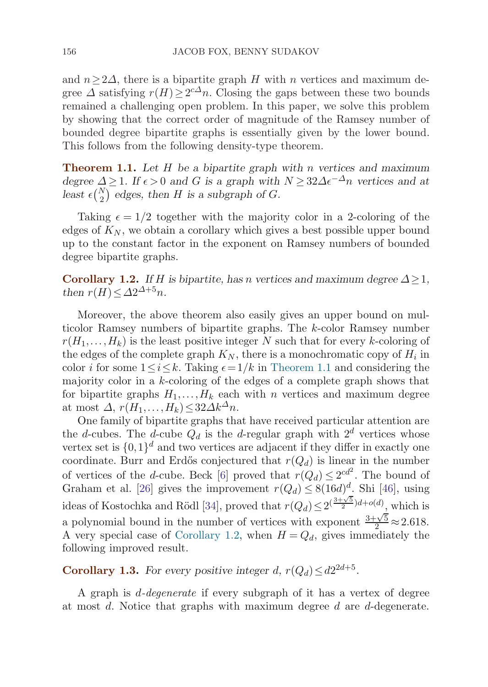<span id="page-3-0"></span>and  $n>2\Delta$ , there is a bipartite graph H with n vertices and maximum degree  $\Delta$  satisfying  $r(H) \geq 2^{c\Delta}n$ . Closing the gaps between these two bounds remained a challenging open problem. In this paper, we solve this problem by showing that the correct order of magnitude of the Ramsey number of bounded degree bipartite graphs is essentially given by the lower bound. This follows from the following density-type theorem.

**Theorem 1.1.** *Let* H *be a bipartite graph with* n *vertices and maximum*  $degree \ \Delta \geq 1$ *. If*  $\epsilon > 0$  *and G is a graph with*  $N \geq 32\Delta \epsilon^{-\Delta} n$  *vertices and at* least  $\epsilon\binom{N}{2}$  edges, then *H* is a subgraph of *G*.

Taking  $\epsilon = 1/2$  together with the majority color in a 2-coloring of the edges of  $K_N$ , we obtain a corollary which gives a best possible upper bound up to the constant factor in the exponent on Ramsey numbers of bounded degree bipartite graphs.

**Corollary 1.2.** *If* H is bipartite, has n vertices and maximum degree  $\Delta > 1$ *, then*  $r(H) \leq \Delta 2^{\Delta+5}n$ .

Moreover, the above theorem also easily gives an upper bound on multicolor Ramsey numbers of bipartite graphs. The k-color Ramsey number  $r(H_1,...,H_k)$  is the least positive integer N such that for every k-coloring of the edges of the complete graph  $K_N$ , there is a monochromatic copy of  $H_i$  in color *i* for some  $1 \le i \le k$ . Taking  $\epsilon = 1/k$  in Theorem 1.1 and considering the majority color in a k-coloring of the edges of a complete graph shows that for bipartite graphs  $H_1, \ldots, H_k$  each with n vertices and maximum degree at most  $\Delta$ ,  $r(H_1,\ldots,H_k) \leq 32\Delta k^{\Delta}n$ .

One family of bipartite graphs that have received particular attention are the d-cubes. The d-cube  $Q_d$  is the d-regular graph with  $2^d$  vertices whose vertex set is  $\{0,1\}^d$  and two vertices are adjacent if they differ in exactly one coordinate. Burr and Erdős conjectured that  $r(Q_d)$  is linear in the number of vertices of the *d*-cube. Beck [[6](#page-41-0)] proved that  $r(Q_d) \leq 2^{cd^2}$ . The bound of Graham et al. [\[26\]](#page-42-0) gives the improvement  $r(Q_d) \leq 8(16d)^d$ . Shi [\[46\]](#page-43-0), using ideas of Kostochka and Rödl [\[34\]](#page-42-0), proved that  $r(Q_d) \leq 2^{(\frac{3+\sqrt{5}}{2})d + o(d)}$ , which is a polynomial bound in the number of vertices with exponent  $\frac{3+\sqrt{5}}{2} \approx 2.618$ . A very special case of Corollary 1.2, when  $H = Q_d$ , gives immediately the following improved result.

**Corollary 1.3.** *For every positive integer d,*  $r(Q_d) \leq d2^{2d+5}$ *.* 

A graph is d-degenerate if every subgraph of it has a vertex of degree at most d. Notice that graphs with maximum degree d are d-degenerate.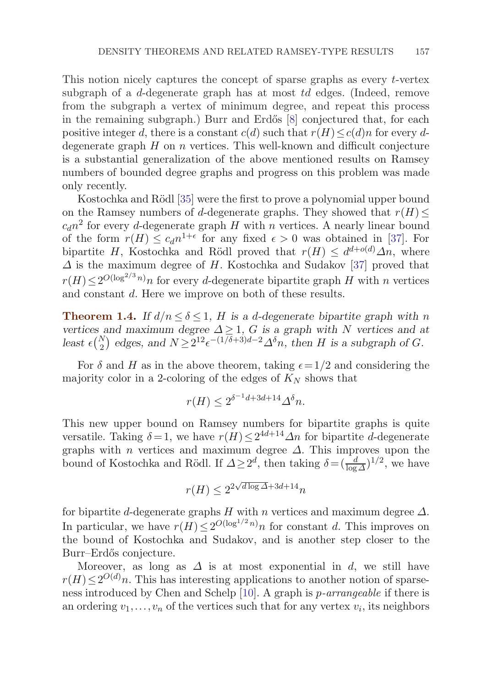<span id="page-4-0"></span>This notion nicely captures the concept of sparse graphs as every t-vertex subgraph of a d-degenerate graph has at most td edges. (Indeed, remove from the subgraph a vertex of minimum degree, and repeat this process in the remaining subgraph.) Burr and Erdős  $[8]$  conjectured that, for each positive integer d, there is a constant  $c(d)$  such that  $r(H) \leq c(d)n$  for every ddegenerate graph  $H$  on  $n$  vertices. This well-known and difficult conjecture is a substantial generalization of the above mentioned results on Ramsey numbers of bounded degree graphs and progress on this problem was made only recently.

Kostochka and Rödl [[35\]](#page-42-0) were the first to prove a polynomial upper bound on the Ramsey numbers of d-degenerate graphs. They showed that  $r(H) \leq$  $c_d n^2$  for every d-degenerate graph H with n vertices. A nearly linear bound of the form  $r(H) \leq c_d n^{1+\epsilon}$  for any fixed  $\epsilon > 0$  was obtained in [\[37](#page-42-0)]. For bipartite H, Kostochka and Rödl proved that  $r(H) \leq d^{d+o(d)}\Delta n$ , where  $\Delta$  is the maximum degree of H. Kostochka and Sudakov [[37\]](#page-42-0) proved that  $r(H) \leq 2^{O(\log^{2/3} n)} n$  for every d-degenerate bipartite graph H with n vertices and constant d. Here we improve on both of these results.

**Theorem 1.4.** *If*  $d/n \le \delta \le 1$ , *H is a d-degenerate bipartite graph with n vertices and maximum degree*  $\Delta \geq 1$ , G *is a graph with* N *vertices and at* least  $\epsilon\binom{N}{2}$  edges, and  $N \ge 2^{12} \epsilon^{-(1/\delta+3)d-2} \Delta^{\delta} n$ , then *H* is a subgraph of *G*.

For  $\delta$  and H as in the above theorem, taking  $\epsilon = 1/2$  and considering the majority color in a 2-coloring of the edges of  $K_N$  shows that

$$
r(H) \le 2^{\delta^{-1}d + 3d + 14} \Delta^{\delta} n.
$$

This new upper bound on Ramsey numbers for bipartite graphs is quite versatile. Taking  $\delta = 1$ , we have  $r(H) \leq 2^{4d+14} \Delta n$  for bipartite d-degenerate graphs with *n* vertices and maximum degree  $\Delta$ . This improves upon the bound of Kostochka and Rödl. If  $\Delta \geq 2^d$ , then taking  $\delta = (\frac{d}{\log \Delta})^{1/2}$ , we have

$$
r(H) \le 2^{2\sqrt{d\log \Delta} + 3d + 14}n
$$

for bipartite d-degenerate graphs  $H$  with n vertices and maximum degree  $\Delta$ . In particular, we have  $r(H) \leq 2^{O(\log^{1/2} n)} n$  for constant d. This improves on the bound of Kostochka and Sudakov, and is another step closer to the Burr–Erdős conjecture.

Moreover, as long as  $\Delta$  is at most exponential in d, we still have  $r(H) \leq 2^{O(d)}n$ . This has interesting applications to another notion of sparseness introduced by Chen and Schelp [[10](#page-41-0)]. A graph is p-arrangeable if there is an ordering  $v_1, \ldots, v_n$  of the vertices such that for any vertex  $v_i$ , its neighbors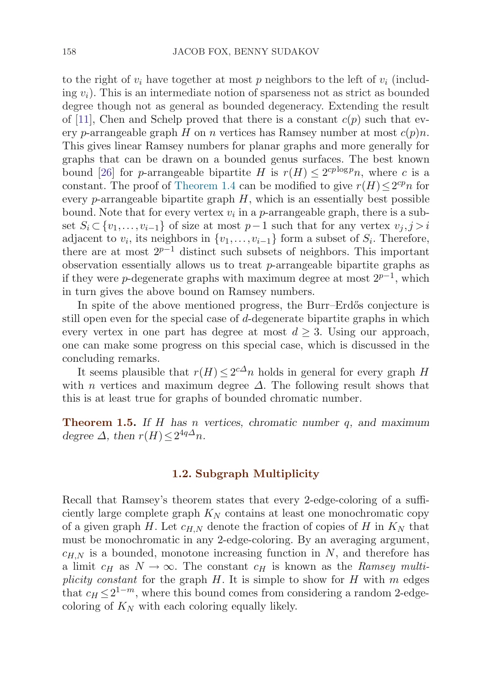<span id="page-5-0"></span>to the right of  $v_i$  have together at most p neighbors to the left of  $v_i$  (including  $v_i$ ). This is an intermediate notion of sparseness not as strict as bounded degree though not as general as bounded degeneracy. Extending the result of [\[11](#page-41-0)], Chen and Schelp proved that there is a constant  $c(p)$  such that every p-arrangeable graph H on n vertices has Ramsey number at most  $c(p)n$ . This gives linear Ramsey numbers for planar graphs and more generally for graphs that can be drawn on a bounded genus surfaces. The best known bound [\[26](#page-42-0)] for p-arrangeable bipartite H is  $r(H) \leq 2^{cp \log p} n$ , where c is a constant. The proof of [Theorem 1.4](#page-4-0) can be modified to give  $r(H) \leq 2^{cp}n$  for every  $p$ -arrangeable bipartite graph  $H$ , which is an essentially best possible bound. Note that for every vertex  $v_i$  in a p-arrangeable graph, there is a subset  $S_i$  ⊂ { $v_1, \ldots, v_{i-1}$ } of size at most  $p-1$  such that for any vertex  $v_j, j>i$ adjacent to  $v_i$ , its neighbors in  $\{v_1,\ldots,v_{i-1}\}$  form a subset of  $S_i$ . Therefore, there are at most  $2^{p-1}$  distinct such subsets of neighbors. This important observation essentially allows us to treat p-arrangeable bipartite graphs as if they were p-degenerate graphs with maximum degree at most  $2^{p-1}$ , which in turn gives the above bound on Ramsey numbers.

In spite of the above mentioned progress, the Burr–Erdős conjecture is still open even for the special case of  $d$ -degenerate bipartite graphs in which every vertex in one part has degree at most  $d \geq 3$ . Using our approach, one can make some progress on this special case, which is discussed in the concluding remarks.

It seems plausible that  $r(H) \leq 2^{c\Delta}n$  holds in general for every graph H with *n* vertices and maximum degree  $\Delta$ . The following result shows that this is at least true for graphs of bounded chromatic number.

**Theorem 1.5.** *If* H *has* n *vertices, chromatic number* q*, and maximum degree*  $\Delta$ *, then*  $r(H) \leq 2^{4q\Delta}n$ *.* 

## **1.2. Subgraph Multiplicity**

Recall that Ramsey's theorem states that every 2-edge-coloring of a sufficiently large complete graph  $K_N$  contains at least one monochromatic copy of a given graph H. Let  $c_{H,N}$  denote the fraction of copies of H in  $K_N$  that must be monochromatic in any 2-edge-coloring. By an averaging argument,  $c_{H,N}$  is a bounded, monotone increasing function in N, and therefore has a limit  $c_H$  as  $N \to \infty$ . The constant  $c_H$  is known as the Ramsey multiplicity constant for the graph  $H$ . It is simple to show for  $H$  with  $m$  edges that  $c_H \leq 2^{1-m}$ , where this bound comes from considering a random 2-edgecoloring of  $K_N$  with each coloring equally likely.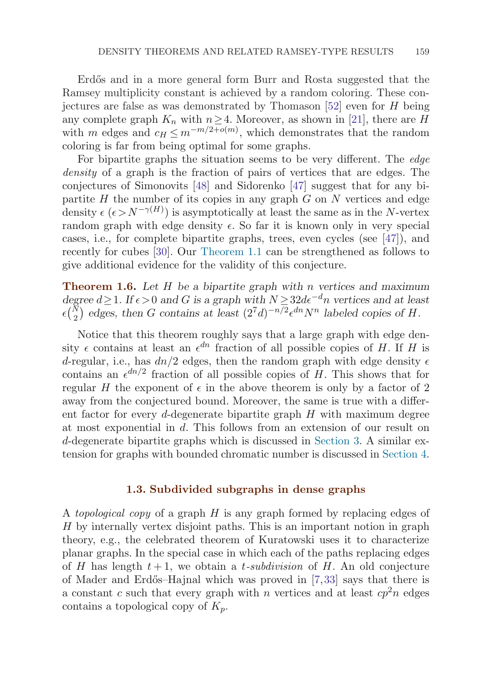<span id="page-6-0"></span>Erdős and in a more general form Burr and Rosta suggested that the Ramsey multiplicity constant is achieved by a random coloring. These conjectures are false as was demonstrated by Thomason  $[52]$  even for H being any complete graph  $K_n$  with  $n\geq 4$ . Moreover, as shown in [\[21\]](#page-42-0), there are H with m edges and  $c_H \leq m^{-m/2+o(m)}$ , which demonstrates that the random coloring is far from being optimal for some graphs.

For bipartite graphs the situation seems to be very different. The edge density of a graph is the fraction of pairs of vertices that are edges. The conjectures of Simonovits [\[48\]](#page-43-0) and Sidorenko [[47\]](#page-43-0) suggest that for any bipartite  $H$  the number of its copies in any graph  $G$  on  $N$  vertices and edge density  $\epsilon$  ( $\epsilon > N^{-\gamma(H)}$ ) is asymptotically at least the same as in the N-vertex random graph with edge density  $\epsilon$ . So far it is known only in very special cases, i.e., for complete bipartite graphs, trees, even cycles (see [\[47\]](#page-43-0)), and recently for cubes [\[30\]](#page-42-0). Our [Theorem 1.1](#page-3-0) can be strengthened as follows to give additional evidence for the validity of this conjecture.

**Theorem 1.6.** *Let* H *be a bipartite graph with* n *vertices and maximum*  $degree\ d \geq 1$ *. If*  $\epsilon > 0$  *and G is a graph with*  $N \geq 32d\epsilon^{-d}n$  *vertices and at least*  $\epsilon$ <sup>( $\frac{N}{2}$ </sup>) edges, then *G* contains at least  $(2^7d)^{-n/2} \epsilon^{dn} N^n$  labeled copies of *H*.

Notice that this theorem roughly says that a large graph with edge density  $\epsilon$  contains at least an  $\epsilon^{dn}$  fraction of all possible copies of H. If H is d-regular, i.e., has  $dn/2$  edges, then the random graph with edge density  $\epsilon$ contains an  $\epsilon^{dn/2}$  fraction of all possible copies of H. This shows that for regular H the exponent of  $\epsilon$  in the above theorem is only by a factor of 2 away from the conjectured bound. Moreover, the same is true with a different factor for every d-degenerate bipartite graph  $H$  with maximum degree at most exponential in d. This follows from an extension of our result on d-degenerate bipartite graphs which is discussed in [Section 3.](#page-15-0) A similar extension for graphs with bounded chromatic number is discussed in [Section 4](#page-18-0).

## **1.3. Subdivided subgraphs in dense graphs**

A topological copy of a graph  $H$  is any graph formed by replacing edges of H by internally vertex disjoint paths. This is an important notion in graph theory, e.g., the celebrated theorem of Kuratowski uses it to characterize planar graphs. In the special case in which each of the paths replacing edges of H has length  $t+1$ , we obtain a t-subdivision of H. An old conjecture of Mader and Erd˝os–Hajnal which was proved in [\[7](#page-41-0),[33](#page-42-0)] says that there is a constant c such that every graph with n vertices and at least  $cp<sup>2</sup>n$  edges contains a topological copy of  $K_n$ .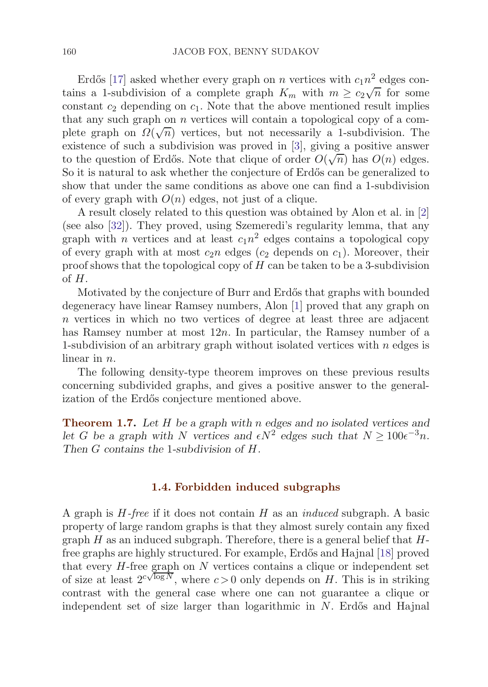<span id="page-7-0"></span>Erdős [[17](#page-41-0)] asked whether every graph on n vertices with  $c_1n^2$  edges con-Errors [17] asked whether every graph on *n* vertices with  $c_1 n$  edges contains a 1-subdivision of a complete graph  $K_m$  with  $m \ge c_2 \sqrt{n}$  for some constant  $c_2$  depending on  $c_1$ . Note that the above mentioned result implies that any such graph on n vertices will contain a topological copy of a comthat any such graph on *n* vertices will contain a topological copy of a com-<br>plete graph on  $\Omega(\sqrt{n})$  vertices, but not necessarily a 1-subdivision. The existence of such a subdivision was proved in [\[3\]](#page-41-0), giving a positive answer EXISTENCE OF SUCH A SUDGIVISION WAS proved in [5], giving a positive answer<br>to the question of Erdős. Note that clique of order  $O(\sqrt{n})$  has  $O(n)$  edges. So it is natural to ask whether the conjecture of Erdős can be generalized to show that under the same conditions as above one can find a 1-subdivision of every graph with  $O(n)$  edges, not just of a clique.

A result closely related to this question was obtained by Alon et al. in [[2](#page-41-0)] (see also [\[32](#page-42-0)]). They proved, using Szemeredi's regularity lemma, that any graph with *n* vertices and at least  $c_1n^2$  edges contains a topological copy of every graph with at most  $c_2n$  edges  $(c_2$  depends on  $c_1$ ). Moreover, their proof shows that the topological copy of  $H$  can be taken to be a 3-subdivision of H.

Motivated by the conjecture of Burr and Erdős that graphs with bounded degeneracy have linear Ramsey numbers, Alon [\[1\]](#page-41-0) proved that any graph on n vertices in which no two vertices of degree at least three are adjacent has Ramsey number at most  $12n$ . In particular, the Ramsey number of a 1-subdivision of an arbitrary graph without isolated vertices with  $n$  edges is linear in  $n$ .

The following density-type theorem improves on these previous results concerning subdivided graphs, and gives a positive answer to the generalization of the Erdős conjecture mentioned above.

**Theorem 1.7.** *Let* H *be a graph with* n *edges and no isolated vertices and let* G *be a graph with* N *vertices and*  $\epsilon N^2$  *edges such that*  $N \ge 100\epsilon^{-3}n$ *. Then* G *contains the* 1*-subdivision of* H*.*

#### **1.4. Forbidden induced subgraphs**

A graph is  $H$ -free if it does not contain  $H$  as an *induced* subgraph. A basic property of large random graphs is that they almost surely contain any fixed graph  $H$  as an induced subgraph. Therefore, there is a general belief that  $H$ -free graphs are highly structured. For example, Erdős and Hajnal [[18\]](#page-41-0) proved that every  $H$ -free graph on  $N$  vertices contains a clique or independent set of size at least  $2^{c\sqrt{\log N}}$ , where  $c > 0$  only depends on H. This is in striking contrast with the general case where one can not guarantee a clique or independent set of size larger than logarithmic in  $N$ . Erdős and Hajnal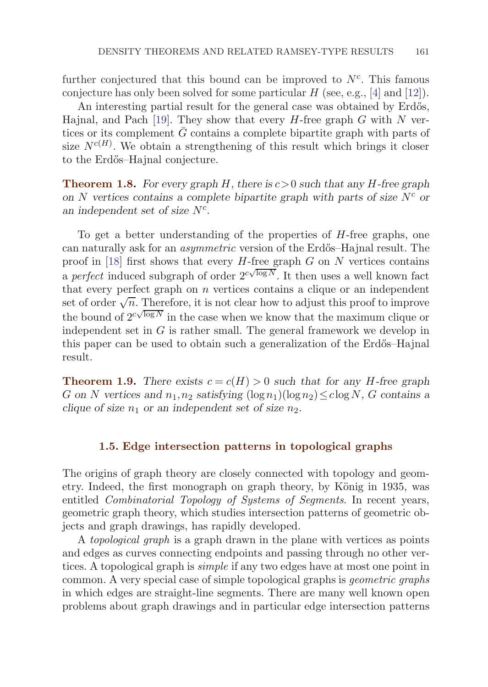<span id="page-8-0"></span>further conjectured that this bound can be improved to  $N<sup>c</sup>$ . This famous conjecture has only been solved for some particular  $H$  (see, e.g., [[4](#page-41-0)] and [\[12\]](#page-41-0)).

An interesting partial result for the general case was obtained by Erdős, Hajnal, and Pach [\[19\]](#page-41-0). They show that every  $H$ -free graph  $G$  with  $N$  vertices or its complement  $\bar{G}$  contains a complete bipartite graph with parts of size  $N^{c(H)}$ . We obtain a strengthening of this result which brings it closer to the Erdős–Hajnal conjecture.

**Theorem 1.8.** For every graph H, there is  $c > 0$  such that any H-free graph on  $N$  vertices contains a complete bipartite graph with parts of size  $N^c$  or *an independent set of size*  $N^c$ .

To get a better understanding of the properties of H-free graphs, one can naturally ask for an *asymmetric* version of the Erdős–Hajnal result. The proof in [[18\]](#page-41-0) first shows that every  $H$ -free graph  $G$  on  $N$  vertices contains a *perfect* induced subgraph of order  $2^{c\sqrt{\log N}}$ . It then uses a well known fact that every perfect graph on  $n$  vertices contains a clique or an independent set of order  $\sqrt{n}$ . Therefore, it is not clear how to adjust this proof to improve the bound of  $2^{c\sqrt{\log N}}$  in the case when we know that the maximum clique or independent set in  $G$  is rather small. The general framework we develop in this paper can be used to obtain such a generalization of the Erdős–Hajnal result.

**Theorem 1.9.** *There exists*  $c = c(H) > 0$  *such that for any H*-free graph G on N vertices and  $n_1, n_2$  satisfying  $(\log n_1)(\log n_2) \leq c \log N$ , G contains a *clique of size*  $n_1$  *or an independent set of size*  $n_2$ *.* 

## **1.5. Edge intersection patterns in topological graphs**

The origins of graph theory are closely connected with topology and geometry. Indeed, the first monograph on graph theory, by König in 1935, was entitled Combinatorial Topology of Systems of Segments. In recent years, geometric graph theory, which studies intersection patterns of geometric objects and graph drawings, has rapidly developed.

A topological graph is a graph drawn in the plane with vertices as points and edges as curves connecting endpoints and passing through no other vertices. A topological graph is simple if any two edges have at most one point in common. A very special case of simple topological graphs is geometric graphs in which edges are straight-line segments. There are many well known open problems about graph drawings and in particular edge intersection patterns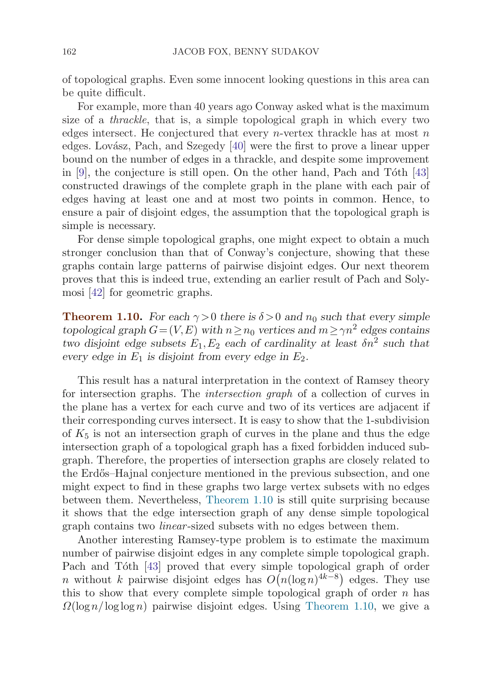<span id="page-9-0"></span>of topological graphs. Even some innocent looking questions in this area can be quite difficult.

For example, more than 40 years ago Conway asked what is the maximum size of a thrackle, that is, a simple topological graph in which every two edges intersect. He conjectured that every  $n$ -vertex thrackle has at most  $n$ edges. Lovász, Pach, and Szegedy [[40](#page-42-0)] were the first to prove a linear upper bound on the number of edges in a thrackle, and despite some improvement in  $[9]$  $[9]$  $[9]$ , the conjecture is still open. On the other hand, Pach and Tóth  $[43]$  $[43]$ constructed drawings of the complete graph in the plane with each pair of edges having at least one and at most two points in common. Hence, to ensure a pair of disjoint edges, the assumption that the topological graph is simple is necessary.

For dense simple topological graphs, one might expect to obtain a much stronger conclusion than that of Conway's conjecture, showing that these graphs contain large patterns of pairwise disjoint edges. Our next theorem proves that this is indeed true, extending an earlier result of Pach and Solymosi [\[42\]](#page-42-0) for geometric graphs.

**Theorem 1.10.** *For each*  $\gamma > 0$  *there is*  $\delta > 0$  *and*  $n_0$  *such that every simple topological graph*  $G=(V,E)$  *with*  $n \ge n_0$  *vertices and*  $m \ge \gamma n^2$  *edges contains two disjoint edge subsets*  $E_1, E_2$  *each of cardinality at least*  $\delta n^2$  *such that every edge in*  $E_1$  *is disjoint from every edge in*  $E_2$ *.* 

This result has a natural interpretation in the context of Ramsey theory for intersection graphs. The intersection graph of a collection of curves in the plane has a vertex for each curve and two of its vertices are adjacent if their corresponding curves intersect. It is easy to show that the 1-subdivision of  $K_5$  is not an intersection graph of curves in the plane and thus the edge intersection graph of a topological graph has a fixed forbidden induced subgraph. Therefore, the properties of intersection graphs are closely related to the Erd˝os–Hajnal conjecture mentioned in the previous subsection, and one might expect to find in these graphs two large vertex subsets with no edges between them. Nevertheless, Theorem 1.10 is still quite surprising because it shows that the edge intersection graph of any dense simple topological graph contains two *linear*-sized subsets with no edges between them.

Another interesting Ramsey-type problem is to estimate the maximum number of pairwise disjoint edges in any complete simple topological graph. Pach and Tóth [[43](#page-42-0)] proved that every simple topological graph of order n without k pairwise disjoint edges has  $O(n(\log n)^{4k-8})$  edges. They use this to show that every complete simple topological graph of order  $n$  has  $\Omega(\log n / \log \log n)$  pairwise disjoint edges. Using Theorem 1.10, we give a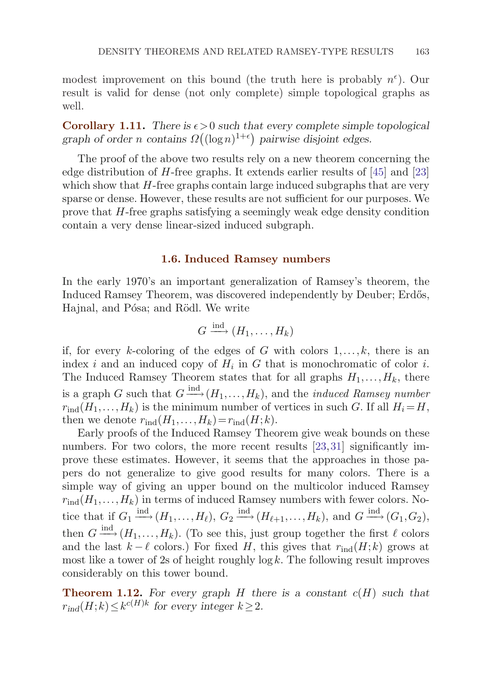<span id="page-10-0"></span>modest improvement on this bound (the truth here is probably  $n^{\epsilon}$ ). Our result is valid for dense (not only complete) simple topological graphs as well.

**Corollary 1.11.** There is  $\epsilon > 0$  such that every complete simple topological *graph of order n contains*  $\Omega((\log n)^{1+\epsilon})$  *pairwise disjoint edges.* 

The proof of the above two results rely on a new theorem concerning the edge distribution of H-free graphs. It extends earlier results of [[45\]](#page-43-0) and [\[23](#page-42-0)] which show that  $H$ -free graphs contain large induced subgraphs that are very sparse or dense. However, these results are not sufficient for our purposes. We prove that H-free graphs satisfying a seemingly weak edge density condition contain a very dense linear-sized induced subgraph.

## **1.6. Induced Ramsey numbers**

In the early 1970's an important generalization of Ramsey's theorem, the Induced Ramsey Theorem, was discovered independently by Deuber; Erdős, Hajnal, and Pósa; and Rödl. We write

$$
G \xrightarrow{\operatorname{ind}} (H_1, \ldots, H_k)
$$

if, for every k-coloring of the edges of G with colors  $1, \ldots, k$ , there is an index i and an induced copy of  $H_i$  in G that is monochromatic of color i. The Induced Ramsey Theorem states that for all graphs  $H_1, \ldots, H_k$ , there is a graph G such that  $G \stackrel{\text{ind}}{\longrightarrow} (H_1, \ldots, H_k)$ , and the *induced Ramsey number*  $r_{\text{ind}}(H_1,\ldots,H_k)$  is the minimum number of vertices in such G. If all  $H_i=H$ , then we denote  $r_{\text{ind}}(H_1,\ldots,H_k)=r_{\text{ind}}(H;k).$ 

Early proofs of the Induced Ramsey Theorem give weak bounds on these numbers. For two colors, the more recent results [[23,31](#page-42-0)] significantly improve these estimates. However, it seems that the approaches in those papers do not generalize to give good results for many colors. There is a simple way of giving an upper bound on the multicolor induced Ramsey  $r_{\text{ind}}(H_1,\ldots,H_k)$  in terms of induced Ramsey numbers with fewer colors. Notice that if  $G_1 \stackrel{\text{ind}}{\longrightarrow} (H_1,\ldots,H_\ell)$ ,  $G_2 \stackrel{\text{ind}}{\longrightarrow} (H_{\ell+1},\ldots,H_k)$ , and  $G \stackrel{\text{ind}}{\longrightarrow} (G_1,G_2)$ , then  $G \stackrel{\text{ind}}{\longrightarrow} (H_1,\ldots,H_k)$ . (To see this, just group together the first  $\ell$  colors and the last  $k - \ell$  colors.) For fixed H, this gives that  $r_{\text{ind}}(H; k)$  grows at most like a tower of 2s of height roughly  $\log k$ . The following result improves considerably on this tower bound.

**Theorem 1.12.** For every graph  $H$  there is a constant  $c(H)$  such that  $r_{ind}(H;k) \leq k^{c(H)k}$  for every integer  $k \geq 2$ .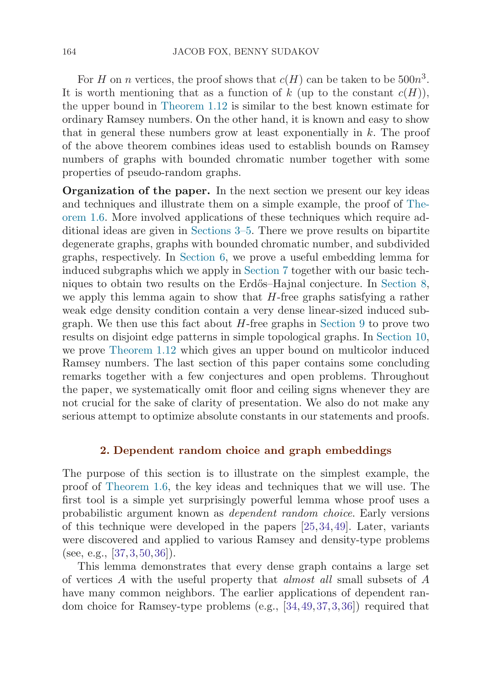For H on n vertices, the proof shows that  $c(H)$  can be taken to be  $500n^3$ . It is worth mentioning that as a function of k (up to the constant  $c(H)$ ), the upper bound in [Theorem 1.12](#page-10-0) is similar to the best known estimate for ordinary Ramsey numbers. On the other hand, it is known and easy to show that in general these numbers grow at least exponentially in  $k$ . The proof of the above theorem combines ideas used to establish bounds on Ramsey numbers of graphs with bounded chromatic number together with some properties of pseudo-random graphs.

**Organization of the paper.** In the next section we present our key ideas and techniques and illustrate them on a simple example, the proof of [The](#page-6-0)or[em 1.6](#page-6-0). More involved applications of these techniques which require additional ideas are given in [Sections 3](#page-15-0)[–5](#page-21-0). There we prove results on bipartite degenerate graphs, graphs with bounded chromatic number, and subdivided graphs, respectively. In [Section 6,](#page-23-0) we prove a useful embedding lemma for induced subgraphs which we apply in [Section 7](#page-26-0) together with our basic tech-niques to obtain two results on the Erdős–Hajnal conjecture. In [Section 8](#page-30-0), we apply this lemma again to show that  $H$ -free graphs satisfying a rather weak edge density condition contain a very dense linear-sized induced subgraph. We then use this fact about  $H$ -free graphs in [Section 9](#page-33-0) to prove two results on disjoint edge patterns in simple topological graphs. In [Section 10](#page-35-0), we prove [Theorem 1.12](#page-10-0) which gives an upper bound on multicolor induced Ramsey numbers. The last section of this paper contains some concluding remarks together with a few conjectures and open problems. Throughout the paper, we systematically omit floor and ceiling signs whenever they are not crucial for the sake of clarity of presentation. We also do not make any serious attempt to optimize absolute constants in our statements and proofs.

## **2. Dependent random choice and graph embeddings**

The purpose of this section is to illustrate on the simplest example, the proof of [Theorem 1.6,](#page-6-0) the key ideas and techniques that we will use. The first tool is a simple yet surprisingly powerful lemma whose proof uses a probabilistic argument known as dependent random choice. Early versions of this technique were developed in the papers [[25](#page-42-0),[34](#page-42-0),[49](#page-43-0)]. Later, variants were discovered and applied to various Ramsey and density-type problems (see, e.g.,  $[37,3,50,36]$  $[37,3,50,36]$  $[37,3,50,36]$  $[37,3,50,36]$  $[37,3,50,36]$  $[37,3,50,36]$ ).

This lemma demonstrates that every dense graph contains a large set of vertices A with the useful property that almost all small subsets of A have many common neighbors. The earlier applications of dependent random choice for Ramsey-type problems (e.g., [\[34](#page-42-0),[49,](#page-43-0)[37,](#page-42-0)[3](#page-41-0),[36](#page-42-0)]) required that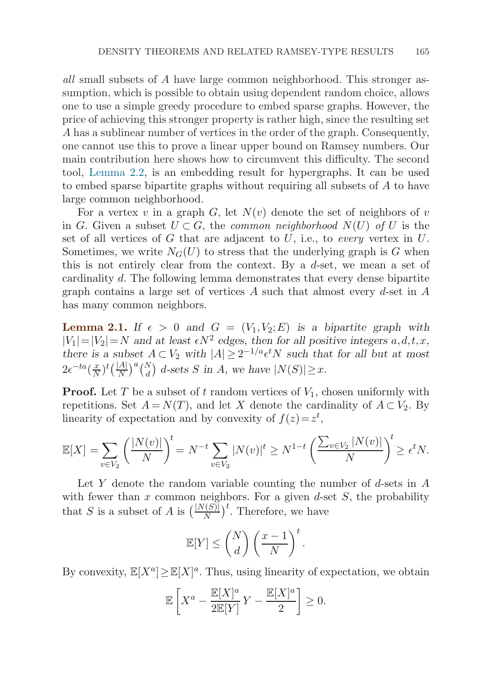<span id="page-12-0"></span>all small subsets of A have large common neighborhood. This stronger assumption, which is possible to obtain using dependent random choice, allows one to use a simple greedy procedure to embed sparse graphs. However, the price of achieving this stronger property is rather high, since the resulting set A has a sublinear number of vertices in the order of the graph. Consequently, one cannot use this to prove a linear upper bound on Ramsey numbers. Our main contribution here shows how to circumvent this difficulty. The second tool, [Lemma 2.2,](#page-13-0) is an embedding result for hypergraphs. It can be used to embed sparse bipartite graphs without requiring all subsets of A to have large common neighborhood.

For a vertex v in a graph  $G$ , let  $N(v)$  denote the set of neighbors of v in G. Given a subset  $U \subset G$ , the *common neighborhood*  $N(U)$  of U is the set of all vertices of G that are adjacent to U, i.e., to every vertex in U. Sometimes, we write  $N_G(U)$  to stress that the underlying graph is G when this is not entirely clear from the context. By a d-set, we mean a set of cardinality d. The following lemma demonstrates that every dense bipartite graph contains a large set of vertices A such that almost every  $d$ -set in A has many common neighbors.

**Lemma 2.1.** If  $\epsilon > 0$  and  $G = (V_1, V_2; E)$  is a bipartite graph with  $|V_1|=|V_2|=N$  and at least  $\epsilon N^2$  edges, then for all positive integers  $a, d, t, x$ , *there is a subset*  $A \subset V_2$  *with*  $|A| \geq 2^{-1/a} \epsilon^t N$  *such that for all but at most*  $2e^{-ta}(\frac{x}{N})^t(\frac{|A|}{N})^a\binom{N}{d}$  d-sets S in A, we have  $|N(S)| \geq x$ .

**Proof.** Let T be a subset of t random vertices of  $V_1$ , chosen uniformly with repetitions. Set  $A = N(T)$ , and let X denote the cardinality of  $A \subset V_2$ . By linearity of expectation and by convexity of  $f(z) = z^t$ ,

$$
\mathbb{E}[X] = \sum_{v \in V_2} \left( \frac{|N(v)|}{N} \right)^t = N^{-t} \sum_{v \in V_2} |N(v)|^t \ge N^{1-t} \left( \frac{\sum_{v \in V_2} |N(v)|}{N} \right)^t \ge \epsilon^t N.
$$

Let Y denote the random variable counting the number of  $d$ -sets in  $A$ with fewer than  $x$  common neighbors. For a given  $d$ -set  $S$ , the probability that S is a subset of A is  $\left(\frac{|N(S)|}{N}\right)^t$ . Therefore, we have

$$
\mathbb{E}[Y] \le \binom{N}{d} \left(\frac{x-1}{N}\right)^t.
$$

By convexity,  $\mathbb{E}[X^a] \geq \mathbb{E}[X]^a$ . Thus, using linearity of expectation, we obtain

$$
\mathbb{E}\left[X^a - \frac{\mathbb{E}[X]^a}{2\mathbb{E}[Y]}Y - \frac{\mathbb{E}[X]^a}{2}\right] \ge 0.
$$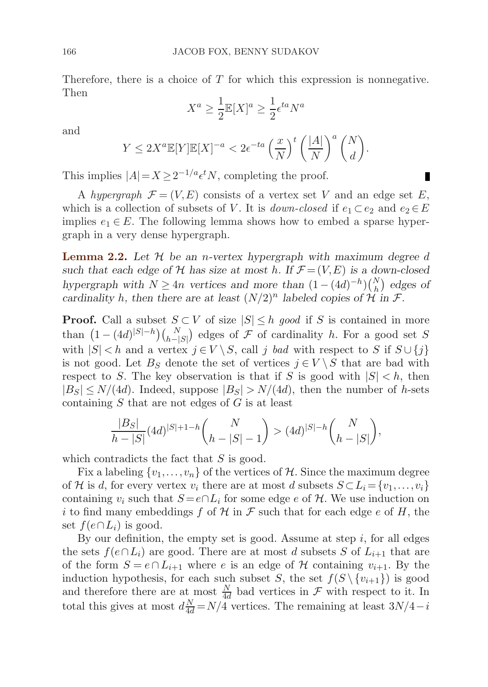Therefore, there is a choice of  $T$  for which this expression is nonnegative. Then

$$
X^a \ge \frac{1}{2} \mathbb{E}[X]^a \ge \frac{1}{2} \epsilon^{ta} N^a
$$

and

$$
Y \le 2X^a \mathbb{E}[Y] \mathbb{E}[X]^{-a} < 2\epsilon^{-ta} \left(\frac{x}{N}\right)^t \left(\frac{|A|}{N}\right)^a \binom{N}{d}.
$$

This implies  $|A| = X \geq 2^{-1/a} \epsilon^t N$ , completing the proof.

A hypergraph  $\mathcal{F} = (V, E)$  consists of a vertex set V and an edge set E, which is a collection of subsets of V. It is *down-closed* if  $e_1 \subset e_2$  and  $e_2 \in E$ implies  $e_1 \in E$ . The following lemma shows how to embed a sparse hypergraph in a very dense hypergraph.

**Lemma 2.2.** *Let* H *be an* n*-vertex hypergraph with maximum degree* d such that each edge of  $H$  has size at most h. If  $F = (V, E)$  is a down-closed *hypergraph with*  $N \geq 4n$  *vertices and more than*  $(1 - (4d)^{-h})(\binom{N}{h})$  *edges of cardinality* h, then there are at least  $(N/2)^n$  labeled copies of  $\mathcal{H}$  in  $\mathcal{F}$ .

**Proof.** Call a subset  $S \subset V$  of size  $|S| \leq h$  good if S is contained in more than  $(1 - (4d)^{|S| - h})(\substack{N \ k-|S|})$  edges of  $\mathcal F$  of cardinality h. For a good set S with  $|S| < h$  and a vertex  $j \in V \setminus S$ , call j bad with respect to S if  $S \cup \{j\}$ is not good. Let  $B_S$  denote the set of vertices  $j \in V \setminus S$  that are bad with respect to S. The key observation is that if S is good with  $|S| < h$ , then  $|B_S| \leq N/(4d)$ . Indeed, suppose  $|B_S| > N/(4d)$ , then the number of h-sets containing  $S$  that are not edges of  $G$  is at least

$$
\frac{|B_S|}{h-|S|}(4d)^{|S|+1-h} \binom{N}{h-|S|-1} > (4d)^{|S|-h} \binom{N}{h-|S|},
$$

which contradicts the fact that  $S$  is good.

Fix a labeling  $\{v_1,\ldots,v_n\}$  of the vertices of H. Since the maximum degree of H is d, for every vertex  $v_i$  there are at most d subsets  $S \subset L_i = \{v_1, \ldots, v_i\}$ containing  $v_i$  such that  $S = e \cap L_i$  for some edge e of H. We use induction on i to find many embeddings f of H in F such that for each edge e of H, the set  $f(e \cap L_i)$  is good.

By our definition, the empty set is good. Assume at step  $i$ , for all edges the sets  $f(e \cap L_i)$  are good. There are at most d subsets S of  $L_{i+1}$  that are of the form  $S = e \cap L_{i+1}$  where e is an edge of H containing  $v_{i+1}$ . By the induction hypothesis, for each such subset S, the set  $f(S \setminus \{v_{i+1}\})$  is good and therefore there are at most  $\frac{N}{4d}$  bad vertices in  $\mathcal F$  with respect to it. In total this gives at most  $d\frac{N}{4d} = N/4$  vertices. The remaining at least  $3N/4-i$ 

<span id="page-13-0"></span>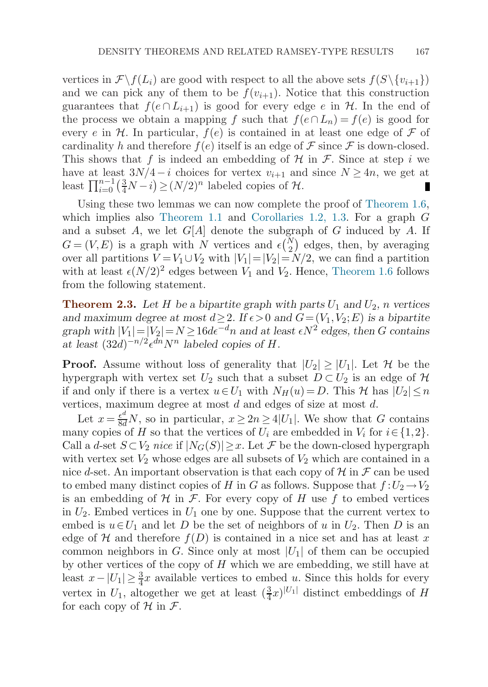vertices in  $\mathcal{F} \backslash f(L_i)$  are good with respect to all the above sets  $f(S \backslash \{v_{i+1}\})$ and we can pick any of them to be  $f(v_{i+1})$ . Notice that this construction guarantees that  $f(e \cap L_{i+1})$  is good for every edge e in H. In the end of the process we obtain a mapping f such that  $f(e \cap L_n) = f(e)$  is good for every e in H. In particular,  $f(e)$  is contained in at least one edge of F of cardinality h and therefore  $f(e)$  itself is an edge of  $\mathcal F$  since  $\mathcal F$  is down-closed. This shows that f is indeed an embedding of  $\mathcal H$  in  $\mathcal F$ . Since at step i we have at least  $3N/4-i$  choices for vertex  $v_{i+1}$  and since  $N \geq 4n$ , we get at least  $\prod_{i=0}^{n-1} \left(\frac{3}{4}N-i\right) \ge (N/2)^n$  labeled copies of  $\mathcal{H}$ .

Using these two lemmas we can now complete the proof of [Theorem 1.6](#page-6-0), which implies also [Theorem 1.1](#page-3-0) and [Corollaries 1.2, 1.3.](#page-3-0) For a graph G and a subset  $A$ , we let  $G[A]$  denote the subgraph of  $G$  induced by  $A$ . If  $G = (V, E)$  is a graph with N vertices and  $\epsilon {N \choose 2}$  edges, then, by averaging over all partitions  $V = V_1 \cup V_2$  with  $|V_1| = |V_2| = N/2$ , we can find a partition with at least  $\epsilon (N/2)^2$  edges between  $V_1$  and  $V_2$ . Hence, [Theorem 1.6](#page-6-0) follows from the following statement.

**Theorem 2.3.** Let H be a bipartite graph with parts  $U_1$  and  $U_2$ , n vertices *and maximum degree at most*  $d \geq 2$ *. If*  $\epsilon > 0$  *and*  $G = (V_1, V_2; E)$  *is a bipartite*  $graph \ with \ |V_1| = |V_2| = N \geq 16d\epsilon^{-d}n \ and \ at \ least \ \epsilon N^2 \ edges, \ then \ G \ contains$ at least  $(32d)^{-n/2} \epsilon^{dn} N^n$  labeled copies of *H*.

**Proof.** Assume without loss of generality that  $|U_2| \geq |U_1|$ . Let H be the hypergraph with vertex set  $U_2$  such that a subset  $D \subset U_2$  is an edge of  $\mathcal H$ if and only if there is a vertex  $u \in U_1$  with  $N_H(u) = D$ . This H has  $|U_2| \leq n$ vertices, maximum degree at most  $d$  and edges of size at most  $d$ .

Let  $x = \frac{e^d}{8d}N$ , so in particular,  $x \ge 2n \ge 4|U_1|$ . We show that G contains many copies of H so that the vertices of  $U_i$  are embedded in  $V_i$  for  $i \in \{1,2\}$ . Call a d-set  $S \subset V_2$  nice if  $|N_G(S)| \geq x$ . Let F be the down-closed hypergraph with vertex set  $V_2$  whose edges are all subsets of  $V_2$  which are contained in a nice d-set. An important observation is that each copy of  $\mathcal H$  in  $\mathcal F$  can be used to embed many distinct copies of H in G as follows. Suppose that  $f:U_2\to V_2$ is an embedding of  $H$  in  $F$ . For every copy of H use f to embed vertices in  $U_2$ . Embed vertices in  $U_1$  one by one. Suppose that the current vertex to embed is  $u \in U_1$  and let D be the set of neighbors of u in  $U_2$ . Then D is an edge of H and therefore  $f(D)$  is contained in a nice set and has at least x common neighbors in G. Since only at most  $|U_1|$  of them can be occupied by other vertices of the copy of  $H$  which we are embedding, we still have at least  $x - |U_1| \geq \frac{3}{4}x$  available vertices to embed u. Since this holds for every vertex in  $U_1$ , altogether we get at least  $(\frac{3}{4}x)^{|U_1|}$  distinct embeddings of H for each copy of  $\mathcal H$  in  $\mathcal F$ .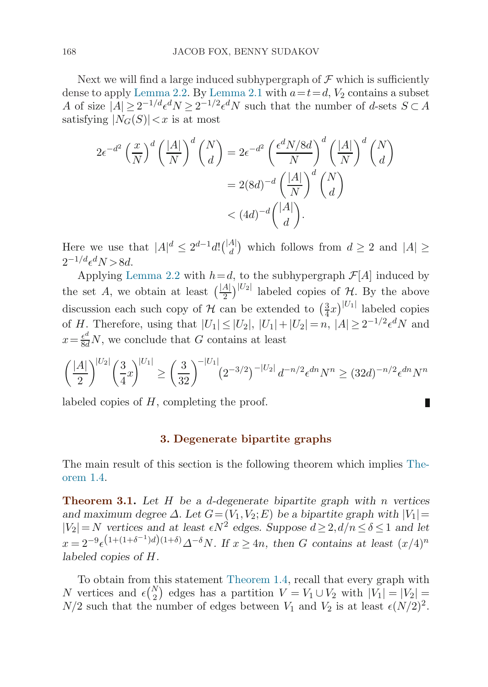<span id="page-15-0"></span>Next we will find a large induced subhypergraph of  $\mathcal F$  which is sufficiently dense to apply [Lemma 2.2.](#page-13-0) By [Lemma 2.1](#page-12-0) with  $a=t=d$ ,  $V_2$  contains a subset A of size  $|A| \geq 2^{-1/d} \epsilon^d N \geq 2^{-1/2} \epsilon^d N$  such that the number of d-sets  $S \subset A$ satisfying  $|N_G(S)| < x$  is at most

$$
2\epsilon^{-d^2} \left(\frac{x}{N}\right)^d \left(\frac{|A|}{N}\right)^d \binom{N}{d} = 2\epsilon^{-d^2} \left(\frac{\epsilon^d N/8d}{N}\right)^d \left(\frac{|A|}{N}\right)^d \binom{N}{d}
$$

$$
= 2(8d)^{-d} \left(\frac{|A|}{N}\right)^d \binom{N}{d}
$$

$$
< (4d)^{-d} \binom{|A|}{d}.
$$

Here we use that  $|A|^d \leq 2^{d-1} d \cdot \binom{|A|}{d}$  which follows from  $d \geq 2$  and  $|A| \geq$  $2^{-1/d} \epsilon^d N > 8d$ .

Applying [Lemma 2.2](#page-13-0) with  $h=d$ , to the subhypergraph  $\mathcal{F}[A]$  induced by the set A, we obtain at least  $\left(\frac{|A|}{2}\right)^{|U_2|}$  labeled copies of H. By the above discussion each such copy of  $\mathcal H$  can be extended to  $\left(\frac{3}{4}x\right)^{|U_1|}$  labeled copies of H. Therefore, using that  $|U_1| \leq |U_2|, |U_1| + |U_2| = n, |A| \geq 2^{-1/2} \epsilon^d N$  and  $x = \frac{\epsilon^d}{8d}N$ , we conclude that G contains at least

$$
\left(\frac{|A|}{2}\right)^{|U_2|} \left(\frac{3}{4}x\right)^{|U_1|} \ge \left(\frac{3}{32}\right)^{-|U_1|} (2^{-3/2})^{-|U_2|} d^{-n/2} \epsilon^{dn} N^n \ge (32d)^{-n/2} \epsilon^{dn} N^n
$$

labeled copies of H, completing the proof.

#### **3. Degenerate bipartite graphs**

The main result of this section is the following theorem which implies [The](#page-4-0)or[em 1.4.](#page-4-0)

**Theorem 3.1.** *Let* H *be a* d*-degenerate bipartite graph with* n *vertices and maximum degree*  $\Delta$ *. Let*  $G = (V_1, V_2; E)$  *be a bipartite graph with*  $|V_1|$  $|V_2|=N$  *vertices and at least*  $\epsilon N^2$  *edges. Suppose*  $d \geq 2$ ,  $d/n \leq \delta \leq 1$  *and let*  $x = 2^{-9} \epsilon^{(1+(1+\delta^{-1})d)(1+\delta)} \Delta^{-\delta} N$ . If  $x \ge 4n$ , then G contains at least  $(x/4)^n$ *labeled copies of* H*.*

To obtain from this statement [Theorem 1.4,](#page-4-0) recall that every graph with N vertices and  $\epsilon {N \choose 2}$  edges has a partition  $V = V_1 \cup V_2$  with  $|V_1| = |V_2| =$  $N/2$  such that the number of edges between  $V_1$  and  $V_2$  is at least  $\epsilon (N/2)^2$ .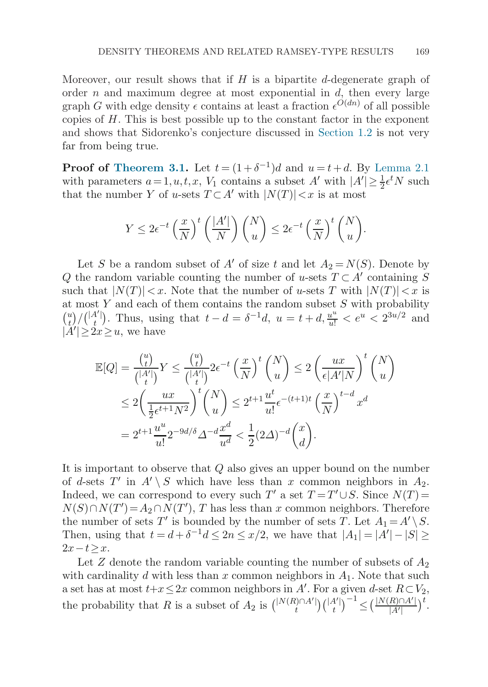Moreover, our result shows that if  $H$  is a bipartite d-degenerate graph of order  $n$  and maximum degree at most exponential in  $d$ , then every large graph G with edge density  $\epsilon$  contains at least a fraction  $\epsilon^{O(dn)}$  of all possible copies of  $H$ . This is best possible up to the constant factor in the exponent and shows that Sidorenko's conjecture discussed in [Section 1.2](#page-5-0) is not very far from being true.

**Proof of [Theorem 3.1.](#page-15-0)** Let  $t = (1+\delta^{-1})d$  and  $u = t+d$ . By [Lemma 2.1](#page-12-0) with parameters  $a=1, u, t, x, V_1$  contains a subset A' with  $|A'| \geq \frac{1}{2} \epsilon^t N$  such that the number Y of u-sets  $T \subset A'$  with  $|N(T)| < x$  is at most

$$
Y \le 2\epsilon^{-t} \left(\frac{x}{N}\right)^t \left(\frac{|A'|}{N}\right) {N \choose u} \le 2\epsilon^{-t} \left(\frac{x}{N}\right)^t {N \choose u}.
$$

Let S be a random subset of A' of size t and let  $A_2 = N(S)$ . Denote by Q the random variable counting the number of u-sets  $T \subset A'$  containing S such that  $|N(T)| < x$ . Note that the number of u-sets T with  $|N(T)| < x$  is at most  $Y$  and each of them contains the random subset  $S$  with probability  $\binom{u}{t}/\binom{|A'|}{t}$  $\mathcal{H}_t^{(1)}$ ). Thus, using that  $t - d = \delta^{-1}d$ ,  $u = t + d$ ,  $\frac{u^u}{u!} < e^u < 2^{3u/2}$  and  $|\widetilde{A'}| \geq 2x \geq u$ , we have

$$
\mathbb{E}[Q] = \frac{\binom{u}{t}}{\binom{|A'|}{t}} Y \le \frac{\binom{u}{t}}{\binom{|A'|}{t}} 2\epsilon^{-t} \left(\frac{x}{N}\right)^t \binom{N}{u} \le 2\left(\frac{ux}{\epsilon|A'|N}\right)^t \binom{N}{u}
$$
  

$$
\le 2\left(\frac{ux}{\frac{1}{2}\epsilon^{t+1}N^2}\right)^t \binom{N}{u} \le 2^{t+1} \frac{u^t}{u!} \epsilon^{-(t+1)t} \left(\frac{x}{N}\right)^{t-d} x^d
$$
  

$$
= 2^{t+1} \frac{u^u}{u!} 2^{-9d/\delta} \Delta^{-d} \frac{x^d}{u^d} < \frac{1}{2} (2\Delta)^{-d} \binom{x}{d}.
$$

It is important to observe that  $Q$  also gives an upper bound on the number of d-sets T' in  $A' \setminus S$  which have less than x common neighbors in  $A_2$ . Indeed, we can correspond to every such T' a set  $T = T' \cup S$ . Since  $N(T) =$  $N(S) \cap N(T') = A_2 \cap N(T')$ , T has less than x common neighbors. Therefore the number of sets T' is bounded by the number of sets T. Let  $A_1 = A' \setminus S$ . Then, using that  $t = d + \delta^{-1}d \leq 2n \leq x/2$ , we have that  $|A_1| = |A'| - |S| \geq$  $2x-t>x$ .

Let  $Z$  denote the random variable counting the number of subsets of  $A_2$ with cardinality d with less than x common neighbors in  $A_1$ . Note that such a set has at most  $t+x \leq 2x$  common neighbors in A'. For a given d-set  $R \subset V_2$ , the probability that R is a subset of  $A_2$  is  $\binom{|N(R)\cap A'|}{t}$  $_{t}^{\left( \right) \cap A^{\prime}\right) }\big) \binom{\left\vert A^{\prime}\right\vert }{t}$  $\binom{4'}{t}^{-1} \leq \Big(\frac{|N(R) \cap A'|}{|A'|}$  $rac{R\cap A'|}{|A'|}$ <sup>t</sup>.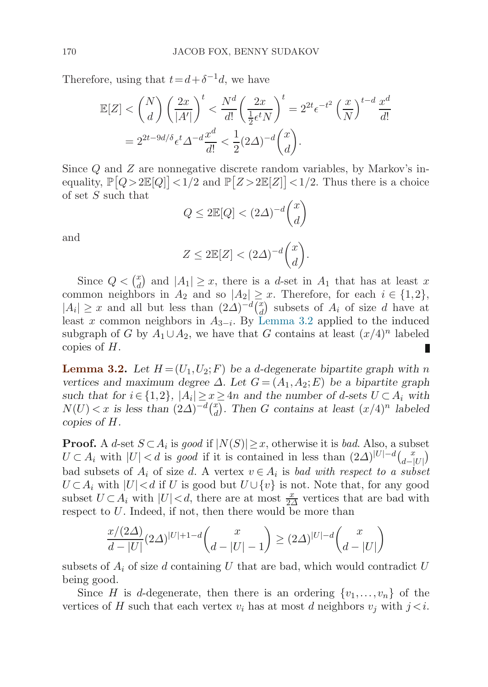<span id="page-17-0"></span>Therefore, using that  $t=d+\delta^{-1}d$ , we have

$$
\mathbb{E}[Z] < \binom{N}{d} \left(\frac{2x}{|A'|}\right)^t < \frac{N^d}{d!} \left(\frac{2x}{\frac{1}{2}\epsilon^t N}\right)^t = 2^{2t} \epsilon^{-t^2} \left(\frac{x}{N}\right)^{t-d} \frac{x^d}{d!}
$$
\n
$$
= 2^{2t - 9d/\delta} \epsilon^t \Delta^{-d} \frac{x^d}{d!} < \frac{1}{2} (2\Delta)^{-d} \binom{x}{d}.
$$

Since Q and Z are nonnegative discrete random variables, by Markov's inequality,  $\mathbb{P}[Q > 2\mathbb{E}[Q]] < 1/2$  and  $\mathbb{P}[Z > 2\mathbb{E}[Z]] < 1/2$ . Thus there is a choice of set S such that

$$
Q \le 2\mathbb{E}[Q] < (2\Delta)^{-d} \binom{x}{d}
$$

and

$$
Z \le 2\mathbb{E}[Z] < (2\Delta)^{-d} \binom{x}{d}.
$$

Since  $Q < \binom{x}{d}$  and  $|A_1| \geq x$ , there is a d-set in  $A_1$  that has at least x common neighbors in  $A_2$  and so  $|A_2| \geq x$ . Therefore, for each  $i \in \{1,2\}$ ,  $|A_i| \geq x$  and all but less than  $(2\Delta)^{-d} {x \choose d}$  subsets of  $A_i$  of size d have at least x common neighbors in  $A_{3-i}$ . By Lemma 3.2 applied to the induced subgraph of G by  $A_1 \cup A_2$ , we have that G contains at least  $(x/4)^n$  labeled copies of H.

**Lemma 3.2.** Let  $H = (U_1, U_2; F)$  be a d-degenerate bipartite graph with n *vertices and maximum degree*  $\Delta$ *. Let*  $G = (A_1, A_2; E)$  *be a bipartite graph such that for*  $i \in \{1,2\}$ ,  $|A_i| \geq x \geq 4n$  *and the number of d-sets*  $U \subset A_i$  *with*  $N(U) < x$  is less than  $(2\Delta)^{-d} {x \choose d}$ . Then *G* contains at least  $(x/4)^n$  labeled *copies of* H*.*

**Proof.** A d-set  $S \subset A_i$  is good if  $|N(S)| \geq x$ , otherwise it is bad. Also, a subset  $U \subset A_i$  with  $|U| < d$  is good if it is contained in less than  $(2\Delta)^{|U|-d} {x \choose d-|U|}$ bad subsets of  $A_i$  of size d. A vertex  $v \in A_i$  is bad with respect to a subset  $U \subset A_i$  with  $|U| < d$  if U is good but  $U \cup \{v\}$  is not. Note that, for any good subset  $U \subset A_i$  with  $|U| < d$ , there are at most  $\frac{x}{2\Delta}$  vertices that are bad with respect to U. Indeed, if not, then there would be more than

$$
\frac{x/(2\Delta)}{d-|U|}(2\Delta)^{|U|+1-d}\binom{x}{d-|U|-1} \ge (2\Delta)^{|U|-d}\binom{x}{d-|U|}
$$

subsets of  $A_i$  of size d containing U that are bad, which would contradict U being good.

Since H is d-degenerate, then there is an ordering  $\{v_1,\ldots,v_n\}$  of the vertices of H such that each vertex  $v_i$  has at most d neighbors  $v_j$  with  $j < i$ .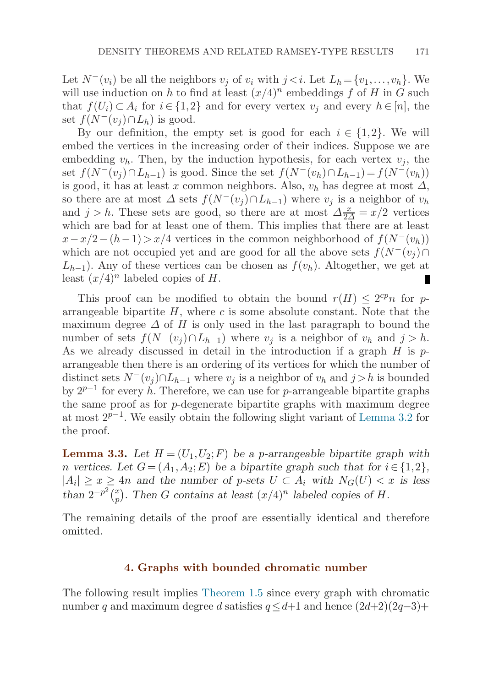<span id="page-18-0"></span>Let  $N^-(v_i)$  be all the neighbors  $v_j$  of  $v_i$  with  $j \lt i$ . Let  $L_h = \{v_1, \ldots, v_h\}$ . We will use induction on h to find at least  $(x/4)^n$  embeddings f of H in G such that  $f(U_i) \subset A_i$  for  $i \in \{1,2\}$  and for every vertex  $v_i$  and every  $h \in [n]$ , the set  $f(N^-(v_i) \cap L_h)$  is good.

By our definition, the empty set is good for each  $i \in \{1,2\}$ . We will embed the vertices in the increasing order of their indices. Suppose we are embedding  $v_h$ . Then, by the induction hypothesis, for each vertex  $v_i$ , the set  $f(N^-(v_i) \cap L_{h-1})$  is good. Since the set  $f(N^-(v_h) \cap L_{h-1})=f(N^-(v_h))$ is good, it has at least x common neighbors. Also,  $v<sub>h</sub>$  has degree at most  $\Delta$ , so there are at most  $\Delta$  sets  $f(N^-(v_i) \cap L_{h-1})$  where  $v_i$  is a neighbor of  $v_h$ and  $j > h$ . These sets are good, so there are at most  $\Delta \frac{x}{2\Delta} = x/2$  vertices which are bad for at least one of them. This implies that there are at least  $x-x/2-(h-1)>x/4$  vertices in the common neighborhood of  $f(N^-(v_h))$ which are not occupied yet and are good for all the above sets  $f(N^-(v_i) \cap$  $L_{h-1}$ ). Any of these vertices can be chosen as  $f(v_h)$ . Altogether, we get at least  $(x/4)^n$  labeled copies of H.

This proof can be modified to obtain the bound  $r(H) \leq 2^{cp}n$  for parrangeable bipartite  $H$ , where c is some absolute constant. Note that the maximum degree  $\Delta$  of H is only used in the last paragraph to bound the number of sets  $f(N^-(v_i) \cap L_{h-1})$  where  $v_i$  is a neighbor of  $v_h$  and  $j > h$ . As we already discussed in detail in the introduction if a graph  $H$  is  $p$ arrangeable then there is an ordering of its vertices for which the number of distinct sets  $N^-(v_i) \cap L_{h-1}$  where  $v_i$  is a neighbor of  $v_h$  and  $j > h$  is bounded by  $2^{p-1}$  for every h. Therefore, we can use for p-arrangeable bipartite graphs the same proof as for  $p$ -degenerate bipartite graphs with maximum degree at most 2p−1. We easily obtain the following slight variant of [Lemma 3.2](#page-17-0) for the proof.

**Lemma 3.3.** Let  $H = (U_1, U_2; F)$  be a p-arrangeable bipartite graph with *n* vertices. Let  $G = (A_1, A_2; E)$  be a bipartite graph such that for  $i \in \{1, 2\}$ ,  $|A_i|$  ≥  $x$  ≥ 4n and the number of p-sets  $U \subset A_i$  with  $N_G(U) < x$  is less *than*  $2^{-p^2} {x \choose p}$ . Then *G contains at least*  $(x/4)^n$  *labeled copies of H.* 

The remaining details of the proof are essentially identical and therefore omitted.

## **4. Graphs with bounded chromatic number**

The following result implies [Theorem 1.5](#page-5-0) since every graph with chromatic number q and maximum degree d satisfies  $q \leq d+1$  and hence  $(2d+2)(2q-3)+$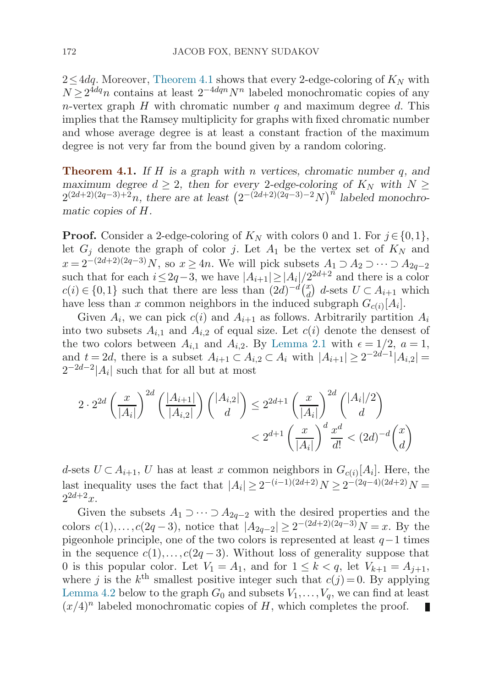<span id="page-19-0"></span> $2 \leq 4dq$ . Moreover, Theorem 4.1 shows that every 2-edge-coloring of  $K_N$  with  $N \geq 2^{4dq}n$  contains at least  $2^{-4dqn}N^n$  labeled monochromatic copies of any n-vertex graph  $H$  with chromatic number  $q$  and maximum degree  $d$ . This implies that the Ramsey multiplicity for graphs with fixed chromatic number and whose average degree is at least a constant fraction of the maximum degree is not very far from the bound given by a random coloring.

**Theorem 4.1.** *If* H *is a graph with* n *vertices, chromatic number* q*, and maximum degree*  $d \geq 2$ , then for every 2-edge-coloring of  $K_N$  with  $N \geq$  $2^{(2d+2)(2q-3)+2n}$ , there are at least  $(2^{-(2d+2)(2q-3)-2}N)^n$  labeled monochro*matic copies of* H*.*

**Proof.** Consider a 2-edge-coloring of  $K_N$  with colors 0 and 1. For  $j \in \{0,1\}$ , let  $G_i$  denote the graph of color j. Let  $A_1$  be the vertex set of  $K_N$  and  $x = 2^{-(2d+2)(2q-3)}N$ , so  $x \ge 4n$ . We will pick subsets  $A_1 \supset A_2 \supset \cdots \supset A_{2q-2}$ such that for each  $i \leq 2q-3$ , we have  $|A_{i+1}| \geq |A_i|/2^{2d+2}$  and there is a color  $c(i) \in \{0,1\}$  such that there are less than  $(2d)^{-d} {x \choose d}$  d-sets  $U \subset A_{i+1}$  which have less than x common neighbors in the induced subgraph  $G_{c(i)}[A_i]$ .

Given  $A_i$ , we can pick  $c(i)$  and  $A_{i+1}$  as follows. Arbitrarily partition  $A_i$ into two subsets  $A_{i,1}$  and  $A_{i,2}$  of equal size. Let  $c(i)$  denote the densest of the two colors between  $A_{i,1}$  and  $A_{i,2}$ . By [Lemma 2.1](#page-12-0) with  $\epsilon = 1/2$ ,  $a = 1$ , and  $t = 2d$ , there is a subset  $A_{i+1} \subset A_{i,2} \subset A_i$  with  $|A_{i+1}| \geq 2^{-2d-1}|A_{i,2}| =$  $2^{-2d-2}$ | $A_i$ | such that for all but at most

$$
2 \cdot 2^{2d} \left(\frac{x}{|A_i|}\right)^{2d} \left(\frac{|A_{i+1}|}{|A_{i,2}|}\right) {|A_{i,2}| \choose d} \le 2^{2d+1} \left(\frac{x}{|A_i|}\right)^{2d} {|A_i|/2 \choose d} \\ < 2^{d+1} \left(\frac{x}{|A_i|}\right)^d \frac{x^d}{d!} < (2d)^{-d} \binom{x}{d}
$$

d-sets  $U \subset A_{i+1}$ , U has at least x common neighbors in  $G_{c(i)}[A_i]$ . Here, the last inequality uses the fact that  $|A_i| \geq 2^{-(i-1)(2d+2)}N \geq 2^{-(2q-4)(2d+2)}N =$  $2^{2d+2}x$ .

Given the subsets  $A_1 \supset \cdots \supset A_{2q-2}$  with the desired properties and the colors  $c(1),...,c(2q-3)$ , notice that  $|A_{2q-2}| \geq 2^{-(2d+2)(2q-3)}N = x$ . By the pigeonhole principle, one of the two colors is represented at least  $q-1$  times in the sequence  $c(1), \ldots, c(2q-3)$ . Without loss of generality suppose that 0 is this popular color. Let  $V_1 = A_1$ , and for  $1 \leq k < q$ , let  $V_{k+1} = A_{i+1}$ , where j is the  $k^{\text{th}}$  smallest positive integer such that  $c(j)=0$ . By applying [Lemma 4.2](#page-20-0) below to the graph  $G_0$  and subsets  $V_1, \ldots, V_q$ , we can find at least  $(x/4)^n$  labeled monochromatic copies of H, which completes the proof.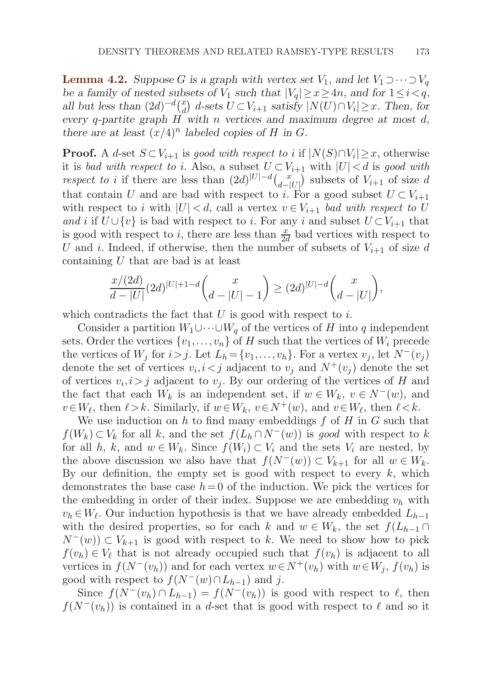<span id="page-20-0"></span>**Lemma 4.2.** *Suppose* G is a graph with vertex set  $V_1$ , and let  $V_1 \supset \cdots \supset V_q$ *be a family of nested subsets of*  $V_1$  *such that*  $|V_q| \geq x \geq 4n$ *, and for*  $1 \leq i < q$ *, all but less than*  $(2d)^{-d} {x \choose d}$  *d*-sets  $U \subset V_{i+1}$  *satisfy*  $|N(U) \cap V_i| \geq x$ . Then, for *every* q*-partite graph* H *with* n *vertices and maximum degree at most* d*, there are at least*  $(x/4)^n$  *labeled copies of* H *in G*.

**Proof.** A d-set  $S \subset V_{i+1}$  is good with respect to i if  $|N(S) \cap V_i| \geq x$ , otherwise it is bad with respect to i. Also, a subset  $U \subset V_{i+1}$  with  $|U| < d$  is good with respect to i if there are less than  $(2d)^{|U|-d} \binom{x}{d-|U|}$  subsets of  $V_{i+1}$  of size d that contain U and are bad with respect to i. For a good subset  $U \subset V_{i+1}$ with respect to i with  $|U| < d$ , call a vertex  $v \in V_{i+1}$  bad with respect to U and i if  $U \cup \{v\}$  is bad with respect to i. For any i and subset  $U \subset V_{i+1}$  that is good with respect to i, there are less than  $\frac{x}{2d}$  bad vertices with respect to U and i. Indeed, if otherwise, then the number of subsets of  $V_{i+1}$  of size d containing U that are bad is at least

$$
\frac{x/(2d)}{d-|U|}(2d)^{|U|+1-d}\binom{x}{d-|U|-1} \ge (2d)^{|U|-d}\binom{x}{d-|U|},
$$

which contradicts the fact that  $U$  is good with respect to  $i$ .

Consider a partition  $W_1 \cup \cdots \cup W_q$  of the vertices of H into q independent sets. Order the vertices  $\{v_1,\ldots,v_n\}$  of H such that the vertices of  $W_i$  precede the vertices of  $W_i$  for  $i>j$ . Let  $L_h = \{v_1, \ldots, v_h\}$ . For a vertex  $v_i$ , let  $N^-(v_i)$ denote the set of vertices  $v_i, i < j$  adjacent to  $v_j$  and  $N^+(v_j)$  denote the set of vertices  $v_i, i>j$  adjacent to  $v_j$ . By our ordering of the vertices of H and the fact that each  $W_k$  is an independent set, if  $w \in W_k$ ,  $v \in N^-(w)$ , and  $v \in W_{\ell}$ , then  $\ell > k$ . Similarly, if  $w \in W_k$ ,  $v \in N^+(w)$ , and  $v \in W_{\ell}$ , then  $\ell < k$ .

We use induction on h to find many embeddings  $f$  of H in G such that  $f(W_k) \subset V_k$  for all k, and the set  $f(L_h \cap N^-(w))$  is good with respect to k for all h, k, and  $w \in W_k$ . Since  $f(W_i) \subset V_i$  and the sets  $V_i$  are nested, by the above discussion we also have that  $f(N^-(w)) \subset V_{k+1}$  for all  $w \in W_k$ . By our definition, the empty set is good with respect to every  $k$ , which demonstrates the base case  $h=0$  of the induction. We pick the vertices for the embedding in order of their index. Suppose we are embedding  $v_h$  with  $v_h \in W_\ell$ . Our induction hypothesis is that we have already embedded  $L_{h-1}$ with the desired properties, so for each k and  $w \in W_k$ , the set  $f(L_{h-1} \cap$  $N^-(w)$ ) ⊂  $V_{k+1}$  is good with respect to k. We need to show how to pick  $f(v_h) \in V_\ell$  that is not already occupied such that  $f(v_h)$  is adjacent to all vertices in  $f(N^-(v_h))$  and for each vertex  $w \in N^+(v_h)$  with  $w \in W_j$ ,  $f(v_h)$  is good with respect to  $f(N^-(w) \cap L_{h-1})$  and j.

Since  $f(N^-(v_h) \cap L_{h-1}) = f(N^-(v_h))$  is good with respect to  $\ell$ , then  $f(N^-(v_h))$  is contained in a d-set that is good with respect to  $\ell$  and so it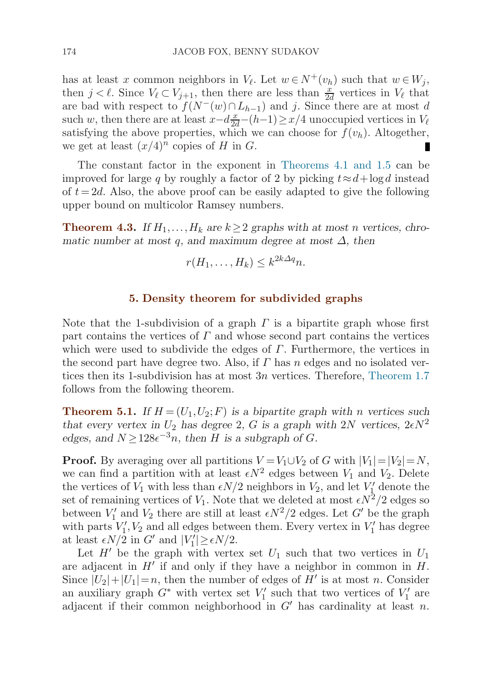<span id="page-21-0"></span>has at least x common neighbors in  $V_{\ell}$ . Let  $w \in N^+(v_h)$  such that  $w \in W_j$ , then  $j < \ell$ . Since  $V_{\ell} \subset V_{j+1}$ , then there are less than  $\frac{x}{2d}$  vertices in  $V_{\ell}$  that are bad with respect to  $f(N^-(w) \cap L_{h-1})$  and j. Since there are at most d such w, then there are at least  $x-d\frac{x}{2d}-(h-1)\geq x/4$  unoccupied vertices in  $V_{\ell}$ satisfying the above properties, which we can choose for  $f(v_h)$ . Altogether, we get at least  $(x/4)^n$  copies of H in G. П

The constant factor in the exponent in [Theorems 4.1](#page-19-0) [and 1.5](#page-5-0) can be improved for large q by roughly a factor of 2 by picking  $t \approx d + \log d$  instead of  $t = 2d$ . Also, the above proof can be easily adapted to give the following upper bound on multicolor Ramsey numbers.

**Theorem 4.3.** If  $H_1, \ldots, H_k$  are  $k \geq 2$  graphs with at most n vertices, chro*matic number at most* q*, and maximum degree at most* ∆*, then*

$$
r(H_1,\ldots,H_k) \leq k^{2k\Delta q}n.
$$

## **5. Density theorem for subdivided graphs**

Note that the 1-subdivision of a graph  $\Gamma$  is a bipartite graph whose first part contains the vertices of  $\Gamma$  and whose second part contains the vertices which were used to subdivide the edges of  $\Gamma$ . Furthermore, the vertices in the second part have degree two. Also, if  $\Gamma$  has n edges and no isolated vertices then its 1-subdivision has at most 3n vertices. Therefore, [Theorem 1.7](#page-7-0) follows from the following theorem.

**Theorem 5.1.** If  $H = (U_1, U_2; F)$  is a bipartite graph with n vertices such *that every vertex in*  $U_2$  *has degree* 2, G *is a graph with* 2N *vertices*,  $2\epsilon N^2$ *edges, and*  $N \geq 128e^{-3}n$ *, then H is a subgraph of G.* 

**Proof.** By averaging over all partitions  $V = V_1 \cup V_2$  of G with  $|V_1| = |V_2| = N$ , we can find a partition with at least  $\epsilon N^2$  edges between  $V_1$  and  $V_2$ . Delete the vertices of  $V_1$  with less than  $\epsilon N/2$  neighbors in  $V_2$ , and let  $V'_1$  denote the set of remaining vertices of  $V_1$ . Note that we deleted at most  $\epsilon N^2/2$  edges so between  $V_1'$  and  $V_2$  there are still at least  $\epsilon N^2/2$  edges. Let  $G'$  be the graph with parts  $V'_1, V_2$  and all edges between them. Every vertex in  $V'_1$  has degree at least  $\epsilon N/2$  in G' and  $|V_1'| \ge \epsilon N/2$ .

Let  $H'$  be the graph with vertex set  $U_1$  such that two vertices in  $U_1$ are adjacent in  $H'$  if and only if they have a neighbor in common in  $H$ . Since  $|U_2|+|U_1|=n$ , then the number of edges of H' is at most n. Consider an auxiliary graph  $G^*$  with vertex set  $V'_1$  such that two vertices of  $V'_1$  are adjacent if their common neighborhood in  $G'$  has cardinality at least n.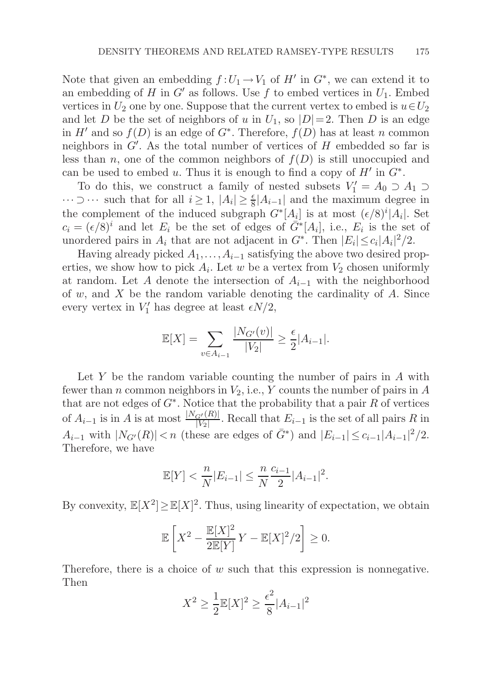Note that given an embedding  $f:U_1 \to V_1$  of  $H'$  in  $G^*$ , we can extend it to an embedding of H in G' as follows. Use f to embed vertices in  $U_1$ . Embed vertices in  $U_2$  one by one. Suppose that the current vertex to embed is  $u \in U_2$ and let D be the set of neighbors of u in  $U_1$ , so  $|D|=2$ . Then D is an edge in H' and so  $f(D)$  is an edge of  $G^*$ . Therefore,  $f(D)$  has at least n common neighbors in  $G'$ . As the total number of vertices of  $H$  embedded so far is less than n, one of the common neighbors of  $f(D)$  is still unoccupied and can be used to embed u. Thus it is enough to find a copy of  $H'$  in  $G^*$ .

To do this, we construct a family of nested subsets  $V'_1 = A_0 \supset A_1 \supset A_2$  $\cdots \supset \cdots$  such that for all  $i \geq 1$ ,  $|A_i| \geq \frac{\epsilon}{8}|A_{i-1}|$  and the maximum degree in the complement of the induced subgraph  $G^*[A_i]$  is at most  $(\epsilon/8)^i|A_i|$ . Set  $c_i = (\epsilon/8)^i$  and let  $E_i$  be the set of edges of  $\overline{G}^*[A_i]$ , i.e.,  $E_i$  is the set of unordered pairs in  $A_i$  that are not adjacent in  $G^*$ . Then  $|E_i| \leq c_i |A_i|^2/2$ .

Having already picked  $A_1, \ldots, A_{i-1}$  satisfying the above two desired properties, we show how to pick  $A_i$ . Let w be a vertex from  $V_2$  chosen uniformly at random. Let A denote the intersection of  $A_{i-1}$  with the neighborhood of w, and X be the random variable denoting the cardinality of  $A$ . Since every vertex in  $V'_1$  has degree at least  $\epsilon N/2$ ,

$$
\mathbb{E}[X] = \sum_{v \in A_{i-1}} \frac{|N_{G'}(v)|}{|V_2|} \ge \frac{\epsilon}{2}|A_{i-1}|.
$$

Let  $Y$  be the random variable counting the number of pairs in  $A$  with fewer than n common neighbors in  $V_2$ , i.e., Y counts the number of pairs in A that are not edges of  $G^*$ . Notice that the probability that a pair R of vertices of  $A_{i-1}$  is in A is at most  $\frac{|N_{G'}(R)|}{|V_2|}$ . Recall that  $E_{i-1}$  is the set of all pairs R in  $A_{i-1}$  with  $|N_{G'}(R)| < n$  (these are edges of  $\bar{G}^*$ ) and  $|E_{i-1}| \leq c_{i-1}|A_{i-1}|^2/2$ . Therefore, we have

$$
\mathbb{E}[Y] < \frac{n}{N} |E_{i-1}| \le \frac{n}{N} \frac{c_{i-1}}{2} |A_{i-1}|^2.
$$

By convexity,  $\mathbb{E}[X^2] \geq \mathbb{E}[X]^2$ . Thus, using linearity of expectation, we obtain

$$
\mathbb{E}\left[X^2 - \frac{\mathbb{E}[X]^2}{2\mathbb{E}[Y]}Y - \mathbb{E}[X]^2/2\right] \ge 0.
$$

Therefore, there is a choice of  $w$  such that this expression is nonnegative. Then

$$
X^{2} \ge \frac{1}{2} \mathbb{E}[X]^{2} \ge \frac{\epsilon^{2}}{8} |A_{i-1}|^{2}
$$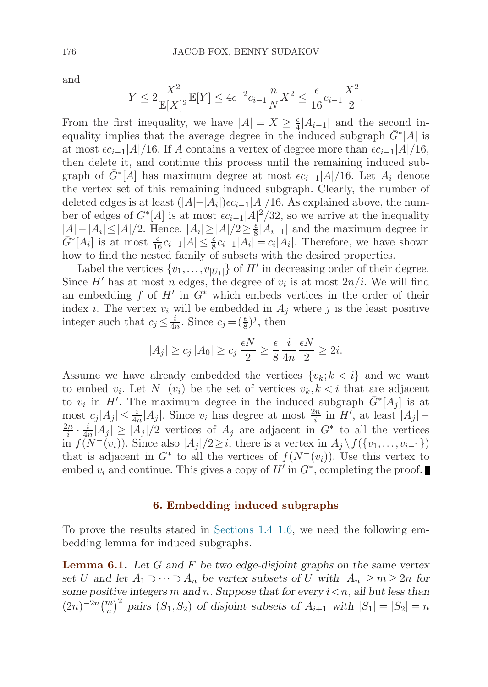and

$$
Y \le 2 \frac{X^2}{\mathbb{E}[X]^2} \mathbb{E}[Y] \le 4\epsilon^{-2} c_{i-1} \frac{n}{N} X^2 \le \frac{\epsilon}{16} c_{i-1} \frac{X^2}{2}.
$$

From the first inequality, we have  $|A| = X \geq \frac{\epsilon}{4} |A_{i-1}|$  and the second inequality implies that the average degree in the induced subgraph  $\bar{G}^*$ [A] is at most  $\epsilon c_{i-1}|A|/16$ . If A contains a vertex of degree more than  $\epsilon c_{i-1}|A|/16$ , then delete it, and continue this process until the remaining induced subgraph of  $\bar{G}^*[\hat{A}]$  has maximum degree at most  $\epsilon c_{i-1}|A|/16$ . Let  $A_i$  denote the vertex set of this remaining induced subgraph. Clearly, the number of deleted edges is at least  $(|A|-|A_i|)\epsilon c_{i-1}|A|/16$ . As explained above, the number of edges of  $G^*[A]$  is at most  $\epsilon c_{i-1}|A|^2/32$ , so we arrive at the inequality  $|A|-|A_i|\leq |A|/2$ . Hence,  $|A_i|\geq |A|/2\geq \frac{\epsilon}{8}|A_{i-1}|$  and the maximum degree in  $\bar{G}^*[A_i]$  is at most  $\frac{\epsilon}{16}c_{i-1}|A| \leq \frac{\epsilon}{8}c_{i-1}|A_i| = c_i|A_i|$ . Therefore, we have shown how to find the nested family of subsets with the desired properties.

Label the vertices  $\{v_1,\ldots,v_{|U_1|}\}$  of  $H'$  in decreasing order of their degree. Since H' has at most n edges, the degree of  $v_i$  is at most  $2n/i$ . We will find an embedding f of H' in  $G^*$  which embeds vertices in the order of their index *i*. The vertex  $v_i$  will be embedded in  $A_j$  where *j* is the least positive integer such that  $c_j \leq \frac{i}{4n}$ . Since  $c_j = (\frac{\epsilon}{8})^j$ , then

$$
|A_j| \ge c_j |A_0| \ge c_j \frac{\epsilon N}{2} \ge \frac{\epsilon}{8} \frac{i}{4n} \frac{\epsilon N}{2} \ge 2i.
$$

Assume we have already embedded the vertices  $\{v_k; k < i\}$  and we want to embed  $v_i$ . Let  $N^-(v_i)$  be the set of vertices  $v_k, k < i$  that are adjacent to  $v_i$  in H'. The maximum degree in the induced subgraph  $\bar{G}^*[A_j]$  is at most  $c_j |A_j| \leq \frac{i}{4n} |A_j|$ . Since  $v_i$  has degree at most  $\frac{2n}{i}$  in H', at least  $|A_j|$  –  $\frac{2n}{i} \cdot \frac{i}{4n} |A_j| \ge |A_j|/2$  vertices of  $A_j$  are adjacent in  $G^*$  to all the vertices in  $f(N^-(v_i))$ . Since also  $|A_i|/2\geq i$ , there is a vertex in  $A_i \setminus f(\{v_1,\ldots,v_{i-1}\})$ that is adjacent in  $G^*$  to all the vertices of  $f(N^-(v_i))$ . Use this vertex to embed  $v_i$  and continue. This gives a copy of H' in  $G^*$ , completing the proof.

#### **6. Embedding induced subgraphs**

To prove the results stated in [Sections 1.4](#page-7-0)[–1.6](#page-10-0), we need the following embedding lemma for induced subgraphs.

**Lemma 6.1.** *Let* G *and* F *be two edge-disjoint graphs on the same vertex set* U and let  $A_1 \supset \cdots \supset A_n$  be vertex subsets of U with  $|A_n| \ge m \ge 2n$  for *some positive integers* m and n. Suppose that for every  $i < n$ , all but less than  $(2n)^{-2n} \binom{m}{n}^2$  pairs  $(S_1, S_2)$  of disjoint subsets of  $A_{i+1}$  with  $|S_1| = |S_2| = n$ 

<span id="page-23-0"></span>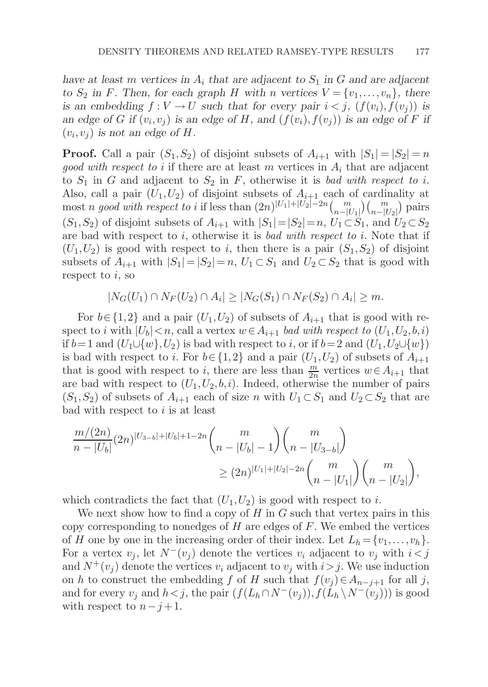*have at least* m *vertices* in  $A_i$  *that are adjacent to*  $S_1$  *in* G *and are adjacent to*  $S_2$  in F. Then, for each graph H with n vertices  $V = \{v_1, \ldots, v_n\}$ , there *is an embedding*  $f: V \to U$  *such that for every pair*  $i < j$ ,  $(f(v_i), f(v_j))$  *is an edge of* G *if*  $(v_i, v_j)$  *is an edge of* H, and  $(f(v_i), f(v_j))$  *is an edge of* F *if*  $(v_i, v_j)$  *is not an edge of H.* 

**Proof.** Call a pair  $(S_1, S_2)$  of disjoint subsets of  $A_{i+1}$  with  $|S_1| = |S_2| = n$ good with respect to i if there are at least m vertices in  $A_i$  that are adjacent to  $S_1$  in G and adjacent to  $S_2$  in F, otherwise it is bad with respect to i. Also, call a pair  $(U_1, U_2)$  of disjoint subsets of  $A_{i+1}$  each of cardinality at most n good with respect to i if less than  $(2n)^{|U_1|+|U_2|-2n} {m \choose n-|U_1|} {m \choose n-|U_2|}$  pairs  $(S_1, S_2)$  of disjoint subsets of  $A_{i+1}$  with  $|S_1|=|S_2|=n$ ,  $U_1\subset S_1$ , and  $U_2\subset S_2$ are bad with respect to  $i$ , otherwise it is bad with respect to  $i$ . Note that if  $(U_1,U_2)$  is good with respect to i, then there is a pair  $(S_1,S_2)$  of disjoint subsets of  $A_{i+1}$  with  $|S_1|=|S_2|=n$ ,  $U_1\subset S_1$  and  $U_2\subset S_2$  that is good with respect to  $i$ , so

 $|N_G(U_1) \cap N_F(U_2) \cap A_i| \geq |N_G(S_1) \cap N_F(S_2) \cap A_i| \geq m.$ 

For  $b \in \{1,2\}$  and a pair  $(U_1, U_2)$  of subsets of  $A_{i+1}$  that is good with respect to i with  $|U_b| < n$ , call a vertex  $w \in A_{i+1}$  bad with respect to  $(U_1, U_2, b, i)$ if  $b=1$  and  $(U_1\cup \{w\}, U_2)$  is bad with respect to i, or if  $b=2$  and  $(U_1, U_2\cup \{w\})$ is bad with respect to i. For  $b \in \{1,2\}$  and a pair  $(U_1, U_2)$  of subsets of  $A_{i+1}$ that is good with respect to *i*, there are less than  $\frac{m}{2n}$  vertices  $w \in A_{i+1}$  that are bad with respect to  $(U_1, U_2, b, i)$ . Indeed, otherwise the number of pairs  $(S_1, S_2)$  of subsets of  $A_{i+1}$  each of size n with  $U_1 \subset S_1$  and  $U_2 \subset S_2$  that are bad with respect to  $i$  is at least

$$
\frac{m/(2n)}{n-|U_b|}(2n)^{|U_{3-b}|+|U_b|+1-2n} \binom{m}{n-|U_b|-1} \binom{m}{n-|U_{3-b}|} \\
\geq (2n)^{|U_1|+|U_2|-2n} \binom{m}{n-|U_1|} \binom{m}{n-|U_2|},
$$

which contradicts the fact that  $(U_1, U_2)$  is good with respect to i.

We next show how to find a copy of  $H$  in  $G$  such that vertex pairs in this copy corresponding to nonedges of  $H$  are edges of  $F$ . We embed the vertices of H one by one in the increasing order of their index. Let  $L_h = \{v_1, \ldots, v_h\}.$ For a vertex  $v_i$ , let  $N^-(v_i)$  denote the vertices  $v_i$  adjacent to  $v_j$  with  $i < j$ and  $N^+(v_i)$  denote the vertices  $v_i$  adjacent to  $v_j$  with  $i>j$ . We use induction on h to construct the embedding f of H such that  $f(v_i) \in A_{n-j+1}$  for all j, and for every  $v_j$  and  $h < j$ , the pair  $(f(L_h \cap N^-(v_j)), f(L_h \setminus N^-(v_j)))$  is good with respect to  $n-j+1$ .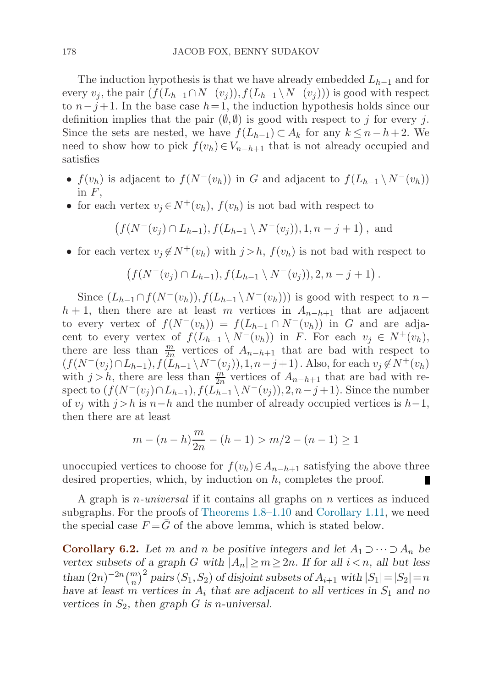<span id="page-25-0"></span>The induction hypothesis is that we have already embedded  $L_{h-1}$  and for every  $v_j$ , the pair  $(f(L_{h-1}\cap N^-(v_j)), f(L_{h-1}\setminus N^-(v_j)))$  is good with respect to  $n-j+1$ . In the base case  $h=1$ , the induction hypothesis holds since our definition implies that the pair  $(\emptyset, \emptyset)$  is good with respect to j for every j. Since the sets are nested, we have  $f(L_{h-1}) \subset A_k$  for any  $k \leq n-h+2$ . We need to show how to pick  $f(v_h) \in V_{n-h+1}$  that is not already occupied and satisfies

- $f(v_h)$  is adjacent to  $f(N^-(v_h))$  in G and adjacent to  $f(L_{h-1} \setminus N^-(v_h))$ in  $F$ ,
- for each vertex  $v_i \in N^+(v_h)$ ,  $f(v_h)$  is not bad with respect to

$$
(f(N^-(v_j) \cap L_{h-1}), f(L_{h-1} \setminus N^-(v_j)), 1, n-j+1)
$$
, and

• for each vertex  $v_i \notin N^+(v_h)$  with  $j > h$ ,  $f(v_h)$  is not bad with respect to

$$
(f(N^-(v_j) \cap L_{h-1}), f(L_{h-1} \setminus N^-(v_j)), 2, n-j+1).
$$

Since  $(L_{h-1}\cap f(N^-(v_h)),f(L_{h-1}\setminus N^-(v_h)))$  is good with respect to n–  $h + 1$ , then there are at least m vertices in  $A_{n-h+1}$  that are adjacent to every vertex of  $f(N^-(v_h)) = f(L_{h-1} \cap N^-(v_h))$  in G and are adjacent to every vertex of  $f(L_{h-1} \setminus N^-(v_h))$  in F. For each  $v_j \in N^+(v_h)$ , there are less than  $\frac{m}{2n}$  vertices of  $A_{n-h+1}$  that are bad with respect to  $(f(N^-(v_j) \cap L_{h-1}), f(\tilde{L}_{h-1} \setminus N^-(v_j)), 1, n-j+1)$ . Also, for each  $v_j \notin N^+(v_h)$ with  $j > h$ , there are less than  $\frac{m}{2n}$  vertices of  $A_{n-h+1}$  that are bad with respect to  $(f(N^-(v_j) \cap L_{h-1}), f(L_{h-1}^{\text{max}} \setminus N^-(v_j)), 2, n-j+1)$ . Since the number of  $v_i$  with  $j>h$  is  $n-h$  and the number of already occupied vertices is  $h-1$ , then there are at least

$$
m - (n - h)\frac{m}{2n} - (h - 1) > m/2 - (n - 1) \ge 1
$$

unoccupied vertices to choose for  $f(v_h) \in A_{n-h+1}$  satisfying the above three desired properties, which, by induction on h, completes the proof.

A graph is n-universal if it contains all graphs on n vertices as induced subgraphs. For the proofs of [Theorems 1.8](#page-8-0)[–1.10](#page-9-0) and [Corollary 1.11,](#page-10-0) we need the special case  $F = \bar{G}$  of the above lemma, which is stated below.

**Corollary 6.2.** *Let* m and n be positive integers and let  $A_1 \supset \cdots \supset A_n$  be *vertex subsets of a graph* G *with*  $|A_n| \ge m \ge 2n$ . If for all  $i < n$ , all but less *than*  $(2n)^{-2n} {m \choose n}^2$  *pairs*  $(S_1, S_2)$  *of disjoint subsets of*  $A_{i+1}$  *with*  $|S_1| = |S_2| = n$ *have at least* m *vertices in*  $A_i$  *that are adjacent to all vertices in*  $S_1$  *and no vertices in*  $S_2$ , then graph  $G$  *is n*-universal.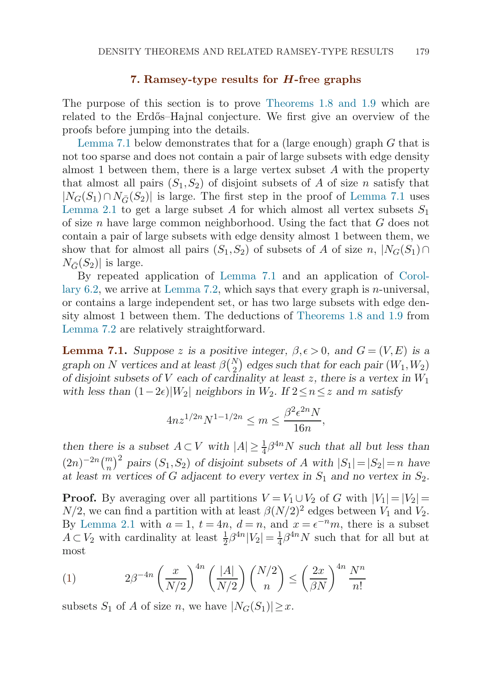## **7. Ramsey-type results for** *H***-free graphs**

<span id="page-26-0"></span>The purpose of this section is to prove [Theorems 1.8 and 1.9](#page-8-0) which are related to the Erdős–Hajnal conjecture. We first give an overview of the proofs before jumping into the details.

Lemma 7.1 below demonstrates that for a (large enough) graph  $G$  that is not too sparse and does not contain a pair of large subsets with edge density almost 1 between them, there is a large vertex subset  $A$  with the property that almost all pairs  $(S_1, S_2)$  of disjoint subsets of A of size n satisfy that  $|N_G(S_1) \cap N_{\overline{G}}(S_2)|$  is large. The first step in the proof of Lemma 7.1 uses [Lemma 2.1](#page-12-0) to get a large subset A for which almost all vertex subsets  $S_1$ of size n have large common neighborhood. Using the fact that  $G$  does not contain a pair of large subsets with edge density almost 1 between them, we show that for almost all pairs  $(S_1, S_2)$  of subsets of A of size  $n, |N_G(S_1) \cap$  $N_{\bar{C}}(S_2)$  is large.

By repeated application of Lemma 7.1 and an application of [Corol](#page-25-0)la[ry 6.2](#page-25-0), we arrive at [Lemma 7.2,](#page-28-0) which says that every graph is *n*-universal, or contains a large independent set, or has two large subsets with edge density almost 1 between them. The deductions of [Theorems 1.8 and 1.9](#page-8-0) from [Lemma 7.2](#page-28-0) are relatively straightforward.

**Lemma 7.1.** *Suppose* z is a positive integer,  $\beta, \epsilon > 0$ , and  $G = (V, E)$  is a *graph on* N *vertices and at least*  $\beta {N \choose 2}$  *edges such that for each pair*  $(W_1, W_2)$ *of disjoint subsets of* V *each of cardinality at least* z*, there is a vertex in* W<sup>1</sup>  $with$  *less than*  $(1-2\epsilon)|W_2|$  *neighbors in*  $W_2$ *. If*  $2 \le n \le z$  *and m satisfy* 

$$
4nz^{1/2n}N^{1-1/2n} \le m \le \frac{\beta^2 \epsilon^{2n}N}{16n},
$$

*then there is a subset*  $A \subset V$  *with*  $|A| \geq \frac{1}{4}\beta^{4n}N$  *such that all but less than*  $(2n)^{-2n} {m \choose n}^2$  pairs  $(S_1, S_2)$  of disjoint subsets of A with  $|S_1| = |S_2| = n$  have *at least m vertices of* G *adjacent to every vertex in*  $S_1$  *and no vertex in*  $S_2$ *.* 

**Proof.** By averaging over all partitions  $V = V_1 \cup V_2$  of G with  $|V_1| = |V_2|$  $N/2$ , we can find a partition with at least  $\beta(N/2)^2$  edges between  $V_1$  and  $V_2$ . By [Lemma 2.1](#page-12-0) with  $a = 1$ ,  $t = 4n$ ,  $d = n$ , and  $x = e^{-n}m$ , there is a subset  $A \subset V_2$  with cardinality at least  $\frac{1}{2}\beta^{4n}|V_2| = \frac{1}{4}\beta^{4n}N$  such that for all but at most

(1) 
$$
2\beta^{-4n} \left(\frac{x}{N/2}\right)^{4n} \left(\frac{|A|}{N/2}\right) {N/2 \choose n} \le \left(\frac{2x}{\beta N}\right)^{4n} \frac{N^n}{n!}
$$

subsets  $S_1$  of A of size n, we have  $|N_G(S_1)| \geq x$ .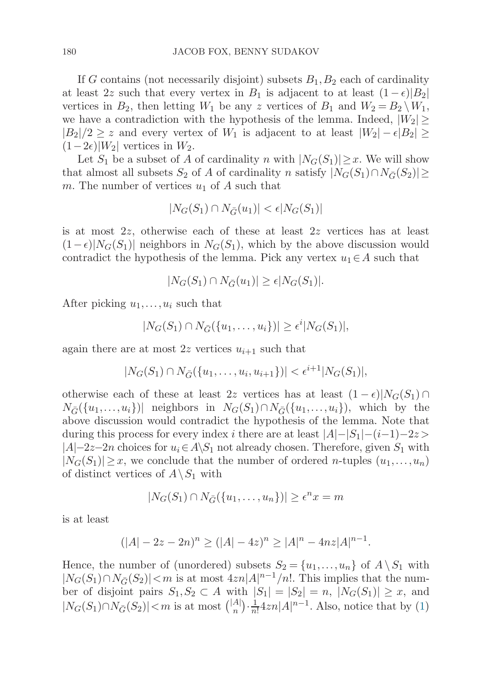If G contains (not necessarily disjoint) subsets  $B_1, B_2$  each of cardinality at least 2z such that every vertex in  $B_1$  is adjacent to at least  $(1 - \epsilon)|B_2|$ vertices in  $B_2$ , then letting  $W_1$  be any z vertices of  $B_1$  and  $W_2 = B_2 \setminus W_1$ , we have a contradiction with the hypothesis of the lemma. Indeed,  $|W_2| \ge$  $|B_2|/2 \geq z$  and every vertex of  $W_1$  is adjacent to at least  $|W_2| - \epsilon |B_2| \geq z$  $(1-2\epsilon)|W_2|$  vertices in  $W_2$ .

Let  $S_1$  be a subset of A of cardinality n with  $|N_G(S_1)| \geq x$ . We will show that almost all subsets  $S_2$  of A of cardinality n satisfy  $|N_G(S_1) \cap N_{\bar{G}}(S_2)| \ge$ m. The number of vertices  $u_1$  of A such that

$$
|N_G(S_1) \cap N_{\bar{G}}(u_1)| < \epsilon |N_G(S_1)|
$$

is at most 2z, otherwise each of these at least 2z vertices has at least  $(1 - \epsilon)|N_G(S_1)|$  neighbors in  $N_G(S_1)$ , which by the above discussion would contradict the hypothesis of the lemma. Pick any vertex  $u_1 \in A$  such that

$$
|N_G(S_1) \cap N_{\overline{G}}(u_1)| \ge \epsilon |N_G(S_1)|.
$$

After picking  $u_1, \ldots, u_i$  such that

$$
|N_G(S_1) \cap N_{\bar{G}}(\{u_1,\ldots,u_i\})| \geq \epsilon^i |N_G(S_1)|,
$$

again there are at most 2z vertices  $u_{i+1}$  such that

$$
|N_G(S_1) \cap N_{\bar{G}}(\{u_1, \ldots, u_i, u_{i+1}\})| < \epsilon^{i+1} |N_G(S_1)|,
$$

otherwise each of these at least 2z vertices has at least  $(1 - \epsilon)|N_G(S_1) \cap$  $N_{\bar{G}}(\{u_1,\ldots,u_i\})$ | neighbors in  $N_G(S_1) \cap N_{\bar{G}}(\{u_1,\ldots,u_i\})$ , which by the above discussion would contradict the hypothesis of the lemma. Note that during this process for every index i there are at least  $|A|-|S_1|-(i-1)-2z\rangle$  $|A|-2z-2n$  choices for  $u_i \in A\backslash S_1$  not already chosen. Therefore, given  $S_1$  with  $|N_G(S_1)| \geq x$ , we conclude that the number of ordered *n*-tuples  $(u_1,\ldots,u_n)$ of distinct vertices of  $A \setminus S_1$  with

$$
|N_G(S_1) \cap N_{\bar{G}}(\{u_1, \ldots, u_n\})| \ge \epsilon^n x = m
$$

is at least

$$
(|A| - 2z - 2n)^n \ge (|A| - 4z)^n \ge |A|^n - 4nz|A|^{n-1}.
$$

Hence, the number of (unordered) subsets  $S_2 = \{u_1, \ldots, u_n\}$  of  $A \setminus S_1$  with  $|N_G(S_1) \cap N_{\overline{G}}(S_2)| < m$  is at most  $4zn|A|^{n-1}/n!$ . This implies that the number of disjoint pairs  $S_1, S_2 \subset A$  with  $|S_1| = |S_2| = n$ ,  $|N_G(S_1)| \geq x$ , and  $|N_G(S_1) \cap N_{\bar{G}}(S_2)| < m$  $|N_G(S_1) \cap N_{\bar{G}}(S_2)| < m$  $|N_G(S_1) \cap N_{\bar{G}}(S_2)| < m$  is at most  $\binom{|A|}{n} \cdot \frac{1}{n!} 4zn|A|^{n-1}$ . Also, notice that by (1)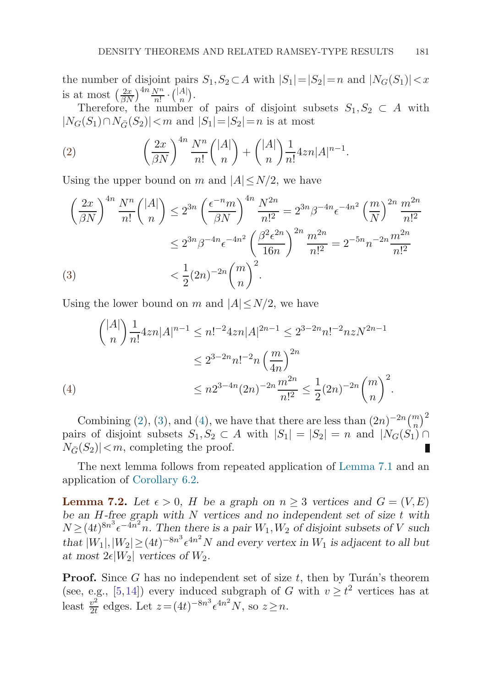<span id="page-28-0"></span>the number of disjoint pairs  $S_1, S_2 \subset A$  with  $|S_1| = |S_2| = n$  and  $|N_G(S_1)| < x$ is at most  $\left(\frac{2x}{\beta N}\right)^{4n} \frac{N^n}{n!} \cdot \binom{|A|}{n}.$ 

Therefore, the number of pairs of disjoint subsets  $S_1, S_2 \subset A$  with  $|N_G(S_1) \cap N_{\bar{G}}(S_2)| < m$  and  $|S_1| = |S_2| = n$  is at most

(2) 
$$
\left(\frac{2x}{\beta N}\right)^{4n} \frac{N^n}{n!} {|\mathcal{A}|\choose n} + {|A|\choose n} \frac{1}{n!} 4zn|\mathcal{A}|^{n-1}.
$$

Using the upper bound on m and  $|A| \le N/2$ , we have

$$
\left(\frac{2x}{\beta N}\right)^{4n} \frac{N^n}{n!} \binom{|A|}{n} \le 2^{3n} \left(\frac{\epsilon^{-n} m}{\beta N}\right)^{4n} \frac{N^{2n}}{n!^2} = 2^{3n} \beta^{-4n} \epsilon^{-4n^2} \left(\frac{m}{N}\right)^{2n} \frac{m^{2n}}{n!^2}
$$

$$
\le 2^{3n} \beta^{-4n} \epsilon^{-4n^2} \left(\frac{\beta^2 \epsilon^{2n}}{16n}\right)^{2n} \frac{m^{2n}}{n!^2} = 2^{-5n} n^{-2n} \frac{m^{2n}}{n!^2}
$$

$$
\le \frac{1}{2} (2n)^{-2n} \binom{m}{n}^2.
$$

Using the lower bound on m and  $|A| \le N/2$ , we have

$$
{|A| \choose n} \frac{1}{n!} 4zn |A|^{n-1} \le n!^{-2} 4zn |A|^{2n-1} \le 2^{3-2n} n!^{-2} nz N^{2n-1}
$$
  

$$
\le 2^{3-2n} n!^{-2} n \left(\frac{m}{4n}\right)^{2n}
$$
  
(4)  

$$
\le n 2^{3-4n} (2n)^{-2n} \frac{m^{2n}}{n!^2} \le \frac{1}{2} (2n)^{-2n} {m \choose n}^2.
$$

Combining (2), (3), and (4), we have that there are less than  $(2n)^{-2n} {m \choose n}^2$ pairs of disjoint subsets  $S_1, S_2 \subset A$  with  $|S_1| = |S_2| = n$  and  $|N_G(S_1)| \cap$  $N_{\bar{G}}(S_2)|< m$ , completing the proof.

The next lemma follows from repeated application of [Lemma 7.1](#page-26-0) and an application of [Corollary 6.2.](#page-25-0)

**Lemma 7.2.** Let  $\epsilon > 0$ , H be a graph on  $n \geq 3$  vertices and  $G = (V, E)$ *be an* H*-free graph with* N *vertices and no independent set of size* t *with*  $N \geq (4t)^{8n^3} \epsilon^{-4n^2} n$ . Then there is a pair  $W_1, W_2$  of disjoint subsets of V such that  $|W_1|, |W_2| \ge (4t)^{-8n^3} \epsilon^{4n^2} N$  and every vertex in  $W_1$  is adjacent to all but at most  $2\epsilon |W_2|$  *vertices of*  $W_2$ *.* 

**Proof.** Since  $G$  has no independent set of size  $t$ , then by Turán's theorem (see, e.g., [\[5,14\]](#page-41-0)) every induced subgraph of G with  $v \geq t^2$  vertices has at least  $\frac{v^2}{2t}$  edges. Let  $z = (4t)^{-8n^3} \epsilon^{4n^2} N$ , so  $z \ge n$ .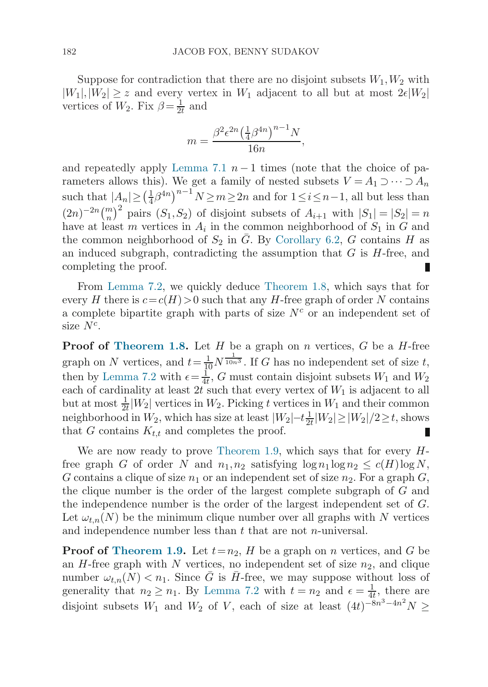Suppose for contradiction that there are no disjoint subsets  $W_1, W_2$  with  $|W_1|, |W_2| \geq z$  and every vertex in  $W_1$  adjacent to all but at most  $2\epsilon|W_2|$ vertices of  $W_2$ . Fix  $\beta = \frac{1}{2t}$  and

$$
m = \frac{\beta^2 \epsilon^{2n} \left(\frac{1}{4}\beta^{4n}\right)^{n-1} N}{16n},
$$

and repeatedly apply [Lemma 7.1](#page-26-0)  $n-1$  times (note that the choice of parameters allows this). We get a family of nested subsets  $V = A_1 \supset \cdots \supset A_n$ such that  $|A_n| \geq (\frac{1}{4}\beta^{4n})^{n-1} N \geq m \geq 2n$  and for  $1 \leq i \leq n-1$ , all but less than  $(2n)^{-2n}\binom{m}{n}^2$  pairs  $(S_1, S_2)$  of disjoint subsets of  $A_{i+1}$  with  $|S_1| = |S_2| = n$ have at least m vertices in  $A_i$  in the common neighborhood of  $S_1$  in G and the common neighborhood of  $S_2$  in  $\overline{G}$ . By [Corollary 6.2,](#page-25-0) G contains H as an induced subgraph, contradicting the assumption that  $G$  is  $H$ -free, and completing the proof.

From [Lemma 7.2](#page-28-0), we quickly deduce [Theorem 1.8,](#page-8-0) which says that for every H there is  $c=c(H)>0$  such that any H-free graph of order N contains a complete bipartite graph with parts of size  $N<sup>c</sup>$  or an independent set of size  $N^c$ .

**Proof of [Theorem 1.8.](#page-8-0)** Let H be a graph on n vertices, G be a H-free graph on N vertices, and  $t = \frac{1}{10} N^{\frac{1}{10n^3}}$ . If G has no independent set of size t, then by [Lemma 7.2](#page-28-0) with  $\epsilon = \frac{1}{4t}$ , G must contain disjoint subsets  $W_1$  and  $W_2$ each of cardinality at least  $2t$  such that every vertex of  $W_1$  is adjacent to all but at most  $\frac{1}{2t}|W_2|$  vertices in  $W_2$ . Picking t vertices in  $W_1$  and their common neighborhood in  $W_2$ , which has size at least  $|W_2|-t\frac{1}{2t}|W_2|\geq |W_2|/2\geq t$ , shows that G contains  $K_{t,t}$  and completes the proof. П

We are now ready to prove [Theorem 1.9](#page-8-0), which says that for every  $H$ free graph G of order N and  $n_1, n_2$  satisfying  $\log n_1 \log n_2 \leq c(H) \log N$ , G contains a clique of size  $n_1$  or an independent set of size  $n_2$ . For a graph G, the clique number is the order of the largest complete subgraph of G and the independence number is the order of the largest independent set of G. Let  $\omega_{t,n}(N)$  be the minimum clique number over all graphs with N vertices and independence number less than  $t$  that are not *n*-universal.

**Proof of [Theorem 1.9](#page-8-0).** Let  $t=n_2$ , H be a graph on n vertices, and G be an  $H$ -free graph with N vertices, no independent set of size  $n_2$ , and clique number  $\omega_{t,n}(N) < n_1$ . Since  $\overline{G}$  is  $\overline{H}$ -free, we may suppose without loss of generality that  $n_2 \geq n_1$ . By [Lemma 7.2](#page-28-0) with  $t = n_2$  and  $\epsilon = \frac{1}{4t}$ , there are disjoint subsets  $W_1$  and  $W_2$  of V, each of size at least  $(4t)^{-8n^3-4n^2}N \geq$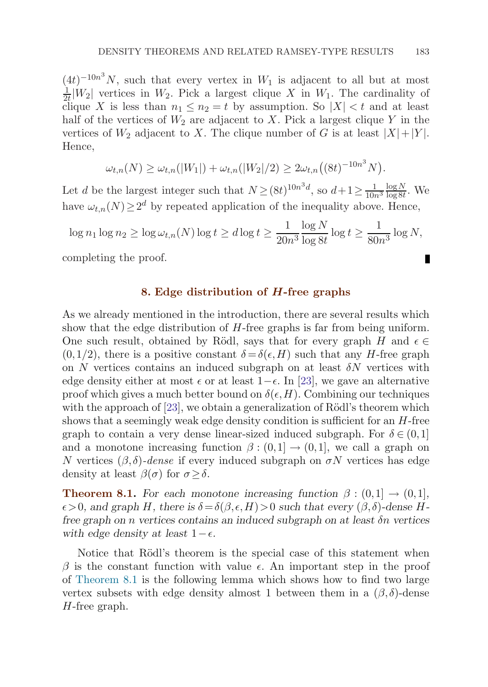<span id="page-30-0"></span> $(4t)^{-10n^3}N$ , such that every vertex in  $W_1$  is adjacent to all but at most  $\frac{1}{2t}|W_2|$  vertices in  $W_2$ . Pick a largest clique X in  $W_1$ . The cardinality of clique X is less than  $n_1 \leq n_2 = t$  by assumption. So  $|X| < t$  and at least half of the vertices of  $W_2$  are adjacent to X. Pick a largest clique Y in the vertices of  $W_2$  adjacent to X. The clique number of G is at least  $|X|+|Y|$ . Hence,

$$
\omega_{t,n}(N) \geq \omega_{t,n}(|W_1|) + \omega_{t,n}(|W_2|/2) \geq 2\omega_{t,n}((8t)^{-10n^3}N).
$$

Let d be the largest integer such that  $N \geq (8t)^{10n^3d}$ , so  $d+1 \geq \frac{1}{10n^3}$  $\frac{\log N}{\log 8t}$ . We have  $\omega_{t,n}(N) \geq 2^d$  by repeated application of the inequality above. Hence,

$$
\log n_1 \log n_2 \ge \log \omega_{t,n}(N) \log t \ge d \log t \ge \frac{1}{20n^3} \frac{\log N}{\log 8t} \log t \ge \frac{1}{80n^3} \log N,
$$

completing the proof.

## **8. Edge distribution of** *H***-free graphs**

As we already mentioned in the introduction, there are several results which show that the edge distribution of H-free graphs is far from being uniform. One such result, obtained by Rödl, says that for every graph H and  $\epsilon \in$  $(0,1/2)$ , there is a positive constant  $\delta = \delta(\epsilon, H)$  such that any H-free graph on  $N$  vertices contains an induced subgraph on at least  $\delta N$  vertices with edge density either at most  $\epsilon$  or at least 1– $\epsilon$ . In [\[23](#page-42-0)], we gave an alternative proof which gives a much better bound on  $\delta(\epsilon, H)$ . Combining our techniques with the approach of  $[23]$  $[23]$ , we obtain a generalization of Rödl's theorem which shows that a seemingly weak edge density condition is sufficient for an  $H$ -free graph to contain a very dense linear-sized induced subgraph. For  $\delta \in (0,1]$ and a monotone increasing function  $\beta$  :  $(0,1] \rightarrow (0,1]$ , we call a graph on N vertices  $(\beta, \delta)$ -dense if every induced subgraph on  $\sigma N$  vertices has edge density at least  $\beta(\sigma)$  for  $\sigma > \delta$ .

**Theorem 8.1.** *For each monotone increasing function*  $\beta$  :  $(0,1] \rightarrow (0,1]$ *,*  $\epsilon > 0$ , and graph H, there is  $\delta = \delta(\beta, \epsilon, H) > 0$  such that every  $(\beta, \delta)$ -dense H*free graph on* n *vertices contains an induced subgraph on at least* δn *vertices* with edge density at least  $1 - \epsilon$ .

Notice that Rödl's theorem is the special case of this statement when β is the constant function with value  $\epsilon$ . An important step in the proof of Theorem 8.1 is the following lemma which shows how to find two large vertex subsets with edge density almost 1 between them in a  $(\beta, \delta)$ -dense H-free graph.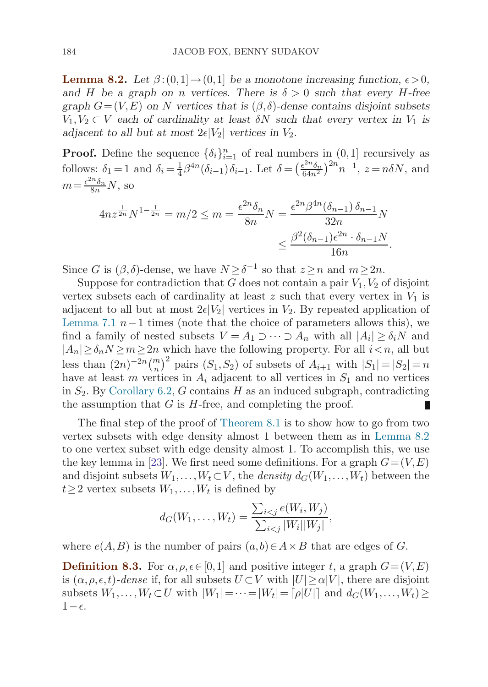<span id="page-31-0"></span>**Lemma 8.2.** *Let*  $\beta$ : $(0,1] \rightarrow (0,1]$  *be a monotone increasing function,*  $\epsilon > 0$ *, and* H be a graph on *n* vertices. There is  $\delta > 0$  such that every H-free *graph*  $G=(V,E)$  *on* N *vertices that is*  $(\beta, \delta)$ -dense contains disjoint subsets  $V_1, V_2 \subset V$  each of cardinality at least  $\delta N$  such that every vertex in  $V_1$  is *adjacent to all but at most*  $2\epsilon|V_2|$  *vertices in*  $V_2$ *.* 

**Proof.** Define the sequence  $\{\delta_i\}_{i=1}^n$  of real numbers in  $(0,1]$  recursively as follows:  $\delta_1 = 1$  and  $\delta_i = \frac{1}{4} \beta^{4n} (\delta_{i-1}) \delta_{i-1}$ . Let  $\delta = \left(\frac{\epsilon^{2n} \delta_n}{64n^2}\right)^{2n} n^{-1}$ ,  $z = n\delta N$ , and  $m = \frac{\epsilon^{2n} \delta_n}{8n} N$ , so

$$
4nz^{\frac{1}{2n}}N^{1-\frac{1}{2n}} = m/2 \le m = \frac{\epsilon^{2n}\delta_n}{8n}N = \frac{\epsilon^{2n}\beta^{4n}(\delta_{n-1})\,\delta_{n-1}}{32n}N
$$

$$
\le \frac{\beta^2(\delta_{n-1})\epsilon^{2n}\cdot\delta_{n-1}N}{16n}.
$$

Since G is  $(\beta, \delta)$ -dense, we have  $N \geq \delta^{-1}$  so that  $z \geq n$  and  $m \geq 2n$ .

Suppose for contradiction that G does not contain a pair  $V_1, V_2$  of disjoint vertex subsets each of cardinality at least  $z$  such that every vertex in  $V_1$  is adjacent to all but at most  $2\epsilon|V_2|$  vertices in  $V_2$ . By repeated application of [Lemma 7.1](#page-26-0)  $n-1$  times (note that the choice of parameters allows this), we find a family of nested subsets  $V = A_1 \supset \cdots \supset A_n$  with all  $|A_i| \geq \delta_i N$  and  $|A_n|\geq \delta_n N\geq m\geq 2n$  which have the following property. For all  $i\leq n$ , all but less than  $(2n)^{-2n} {m \choose n}^2$  pairs  $(S_1, S_2)$  of subsets of  $A_{i+1}$  with  $|S_1| = |S_2| = n$ have at least m vertices in  $A_i$  adjacent to all vertices in  $S_1$  and no vertices in  $S_2$ . By [Corollary 6.2,](#page-25-0) G contains H as an induced subgraph, contradicting the assumption that  $G$  is  $H$ -free, and completing the proof.

The final step of the proof of [Theorem 8.1](#page-30-0) is to show how to go from two vertex subsets with edge density almost 1 between them as in Lemma 8.2 to one vertex subset with edge density almost 1. To accomplish this, we use the key lemma in [\[23](#page-42-0)]. We first need some definitions. For a graph  $G=(V,E)$ and disjoint subsets  $W_1, \ldots, W_t \subset V$ , the *density*  $d_G(W_1, \ldots, W_t)$  between the  $t\geq 2$  vertex subsets  $W_1,\ldots,W_t$  is defined by

$$
d_G(W_1, ..., W_t) = \frac{\sum_{i < j} e(W_i, W_j)}{\sum_{i < j} |W_i| |W_j|},
$$

where  $e(A, B)$  is the number of pairs  $(a, b) \in A \times B$  that are edges of G.

**Definition 8.3.** For  $\alpha, \rho, \epsilon \in [0,1]$  and positive integer t, a graph  $G = (V, E)$ is  $(\alpha, \rho, \epsilon, t)$ -dense if, for all subsets  $U \subset V$  with  $|U| \ge \alpha |V|$ , there are disjoint subsets  $W_1, \ldots, W_t \subset U$  with  $|W_1| = \cdots = |W_t| = |\rho|U|$  and  $d_G(W_1, \ldots, W_t) \ge$  $1-\epsilon$ .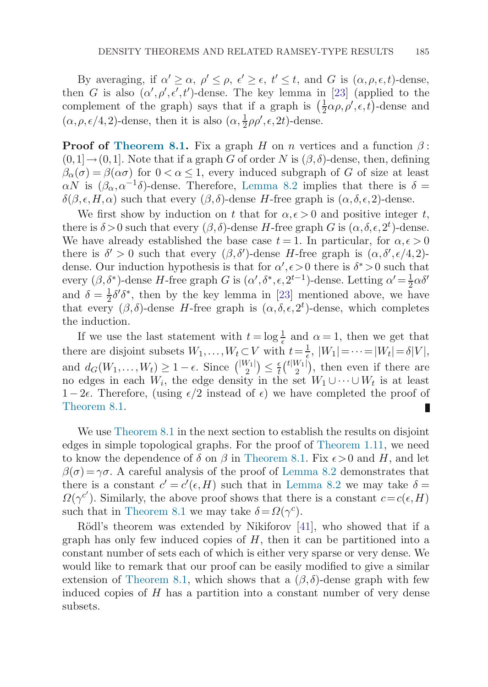By averaging, if  $\alpha' \geq \alpha$ ,  $\rho' \leq \rho$ ,  $\epsilon' \geq \epsilon$ ,  $t' \leq t$ , and G is  $(\alpha, \rho, \epsilon, t)$ -dense, then G is also  $(\alpha', \rho', \epsilon', t')$ -dense. The key lemma in [\[23](#page-42-0)] (applied to the complement of the graph) says that if a graph is  $(\frac{1}{2}\alpha\rho, \rho', \epsilon, t)$ -dense and  $(\alpha, \rho, \epsilon/4, 2)$ -dense, then it is also  $(\alpha, \frac{1}{2}\rho\rho', \epsilon, 2t)$ -dense.

**Proof of [Theorem 8.1.](#page-30-0)** Fix a graph H on n vertices and a function  $\beta$ :  $(0,1] \rightarrow (0,1]$ . Note that if a graph G of order N is  $(\beta, \delta)$ -dense, then, defining  $\beta_{\alpha}(\sigma) = \beta(\alpha \sigma)$  for  $0 < \alpha \leq 1$ , every induced subgraph of G of size at least  $\alpha N$  is  $(\beta_{\alpha}, \alpha^{-1}\delta)$ -dense. Therefore, [Lemma 8.2](#page-31-0) implies that there is  $\delta =$  $\delta(\beta,\epsilon,H,\alpha)$  such that every  $(\beta,\delta)$ -dense H-free graph is  $(\alpha,\delta,\epsilon,2)$ -dense.

We first show by induction on t that for  $\alpha, \epsilon > 0$  and positive integer t, there is  $\delta > 0$  such that every  $(\beta, \delta)$ -dense H-free graph G is  $(\alpha, \delta, \epsilon, 2^t)$ -dense. We have already established the base case  $t = 1$ . In particular, for  $\alpha, \epsilon > 0$ there is  $\delta' > 0$  such that every  $(\beta, \delta')$ -dense H-free graph is  $(\alpha, \delta', \epsilon/4, 2)$ dense. Our induction hypothesis is that for  $\alpha', \epsilon > 0$  there is  $\delta^* > 0$  such that every  $(\beta, \delta^*)$ -dense H-free graph G is  $(\alpha', \delta^*, \epsilon, 2^{t-1})$ -dense. Letting  $\alpha' = \frac{1}{2} \alpha \delta'$ and  $\delta = \frac{1}{2}\delta' \delta^*$ , then by the key lemma in [\[23](#page-42-0)] mentioned above, we have that every  $(\beta, \delta)$ -dense H-free graph is  $(\alpha, \delta, \epsilon, 2^t)$ -dense, which completes the induction.

If we use the last statement with  $t = \log \frac{1}{\epsilon}$  and  $\alpha = 1$ , then we get that there are disjoint subsets  $W_1, \ldots, W_t \subset V$  with  $t = \frac{1}{\epsilon}$ ,  $|W_1| = \cdots = |W_t| = \delta |V|$ , and  $d_G(W_1,\ldots,W_t) \geq 1-\epsilon$ . Since  $\binom{|W_1|}{2} \leq \frac{\epsilon}{t} \binom{t|W_1|}{2}$ , then even if there are no edges in each  $W_i$ , the edge density in the set  $W_1 \cup \cdots \cup W_t$  is at least 1 – 2ε. Therefore, (using  $\epsilon/2$  instead of  $\epsilon$ ) we have completed the proof of [Theorem 8.1.](#page-30-0)

We use [Theorem 8.1](#page-30-0) in the next section to establish the results on disjoint edges in simple topological graphs. For the proof of [Theorem 1.11,](#page-10-0) we need to know the dependence of  $\delta$  on  $\beta$  in [Theorem 8.1](#page-30-0). Fix  $\epsilon > 0$  and H, and let  $\beta(\sigma) = \gamma \sigma$ . A careful analysis of the proof of [Lemma 8.2](#page-31-0) demonstrates that there is a constant  $c' = c'(\epsilon, H)$  such that in [Lemma 8.2](#page-31-0) we may take  $\delta =$  $\Omega(\gamma^{c'})$ . Similarly, the above proof shows that there is a constant  $c = c(\epsilon, H)$ such that in [Theorem 8.1](#page-30-0) we may take  $\delta = \Omega(\gamma^c)$ .

Rödl's theorem was extended by Nikiforov [\[41](#page-42-0)], who showed that if a graph has only few induced copies of  $H$ , then it can be partitioned into a constant number of sets each of which is either very sparse or very dense. We would like to remark that our proof can be easily modified to give a similar extension of [Theorem 8.1,](#page-30-0) which shows that a  $(\beta, \delta)$ -dense graph with few induced copies of  $H$  has a partition into a constant number of very dense subsets.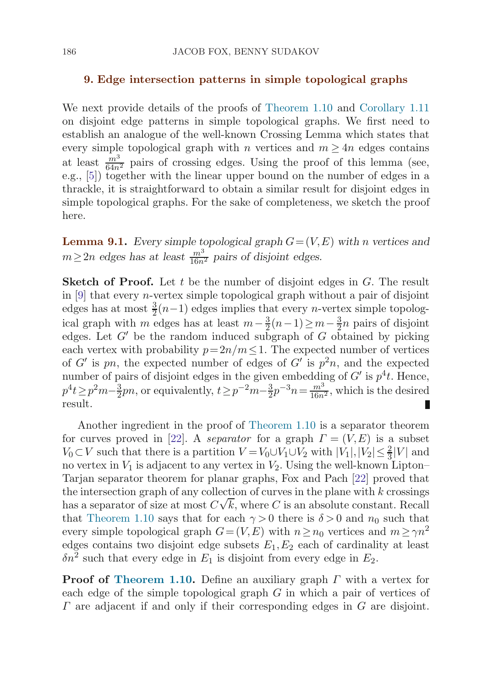#### <span id="page-33-0"></span>**9. Edge intersection patterns in simple topological graphs**

We next provide details of the proofs of [Theorem 1.10](#page-9-0) and [Corollary 1.11](#page-10-0) on disjoint edge patterns in simple topological graphs. We first need to establish an analogue of the well-known Crossing Lemma which states that every simple topological graph with n vertices and  $m > 4n$  edges contains at least  $\frac{m^3}{64n^2}$  pairs of crossing edges. Using the proof of this lemma (see, e.g., [[5](#page-41-0)]) together with the linear upper bound on the number of edges in a thrackle, it is straightforward to obtain a similar result for disjoint edges in simple topological graphs. For the sake of completeness, we sketch the proof here.

**Lemma 9.1.** *Every simple topological graph*  $G = (V, E)$  *with n vertices and*  $m \geq 2n$  edges has at least  $\frac{m^3}{16n^2}$  pairs of disjoint edges.

**Sketch of Proof.** Let t be the number of disjoint edges in G. The result in [\[9](#page-41-0)] that every *n*-vertex simple topological graph without a pair of disjoint edges has at most  $\frac{3}{2}(n-1)$  edges implies that every *n*-vertex simple topological graph with m edges has at least  $m-\frac{3}{2}(n-1) \geq m-\frac{3}{2}n$  pairs of disjoint edges. Let  $G'$  be the random induced subgraph of G obtained by picking each vertex with probability  $p=2n/m\leq 1$ . The expected number of vertices of G' is pn, the expected number of edges of G' is  $p^2n$ , and the expected number of pairs of disjoint edges in the given embedding of  $G'$  is  $p<sup>4</sup>t$ . Hence,  $p^4t \geq p^2m-\frac{3}{2}pn$ , or equivalently,  $t \geq p^{-2}m-\frac{3}{2}p^{-3}n = \frac{m^3}{16n^2}$ , which is the desired result.

Another ingredient in the proof of [Theorem 1.10](#page-9-0) is a separator theorem for curves proved in [[22](#page-42-0)]. A separator for a graph  $\Gamma = (V, E)$  is a subset  $V_0 \subset V$  such that there is a partition  $V = V_0 \cup V_1 \cup V_2$  with  $|V_1|, |V_2| \leq \frac{2}{3}|V|$  and no vertex in  $V_1$  is adjacent to any vertex in  $V_2$ . Using the well-known Lipton– Tarjan separator theorem for planar graphs, Fox and Pach [\[22](#page-42-0)] proved that the intersection graph of any collection of curves in the plane with k crossings has a separator of size at most  $C\sqrt{k}$ , where C is an absolute constant. Recall that [Theorem 1.10](#page-9-0) says that for each  $\gamma > 0$  there is  $\delta > 0$  and  $n_0$  such that every simple topological graph  $G=(V,E)$  with  $n\geq n_0$  vertices and  $m\geq \gamma n^2$ edges contains two disjoint edge subsets  $E_1, E_2$  each of cardinality at least  $\delta n^2$  such that every edge in  $E_1$  is disjoint from every edge in  $E_2$ .

**Proof of [Theorem 1.10](#page-9-0).** Define an auxiliary graph Γ with a vertex for each edge of the simple topological graph  $G$  in which a pair of vertices of  $\Gamma$  are adjacent if and only if their corresponding edges in  $G$  are disjoint.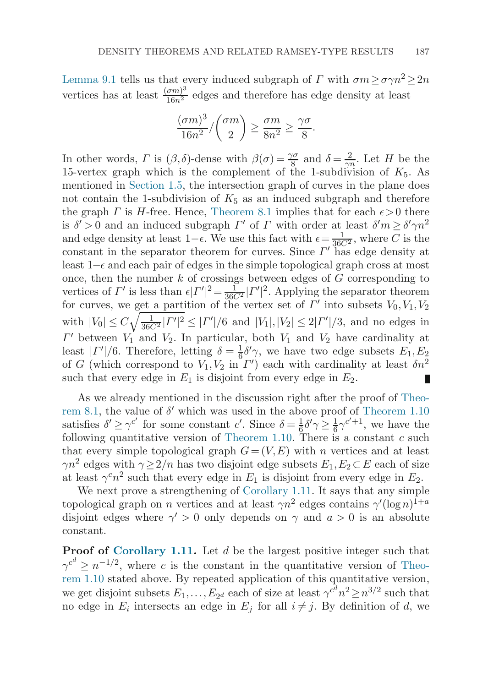[Lemma 9.1](#page-33-0) tells us that every induced subgraph of  $\Gamma$  with  $\sigma m \geq \sigma \gamma n^2 > 2n$ vertices has at least  $\frac{(\sigma m)^3}{16n^2}$  edges and therefore has edge density at least

$$
\frac{(\sigma m)^3}{16n^2} / {\sigma m \choose 2} \ge \frac{\sigma m}{8n^2} \ge \frac{\gamma \sigma}{8}.
$$

In other words,  $\Gamma$  is  $(\beta, \delta)$ -dense with  $\beta(\sigma) = \frac{\gamma \sigma}{8}$  and  $\delta = \frac{2}{\gamma n}$ . Let H be the 15-vertex graph which is the complement of the 1-subdivision of  $K_5$ . As mentioned in [Section 1.5,](#page-8-0) the intersection graph of curves in the plane does not contain the 1-subdivision of  $K_5$  as an induced subgraph and therefore the graph  $\Gamma$  is  $H$ -free. Hence, [Theorem 8.1](#page-30-0) implies that for each  $\epsilon > 0$  there is  $\delta' > 0$  and an induced subgraph  $\Gamma'$  of  $\Gamma$  with order at least  $\delta' m \ge \delta' \gamma n^2$ and edge density at least 1– $\epsilon$ . We use this fact with  $\epsilon = \frac{1}{36C^2}$ , where C is the constant in the separator theorem for curves. Since  $\Gamma'$  has edge density at least 1– $\epsilon$  and each pair of edges in the simple topological graph cross at most once, then the number  $k$  of crossings between edges of  $G$  corresponding to vertices of  $\Gamma'$  is less than  $\epsilon | \Gamma'|^2 = \frac{1}{36C^2} | \Gamma'|^2$ . Applying the separator theorem for curves, we get a partition of the vertex set of  $\Gamma'$  into subsets  $V_0, V_1, V_2$ with  $|V_0| \le C \sqrt{\frac{1}{36C^2} |{\Gamma'}|^2} \le |\Gamma'|/6$  and  $|V_1|, |V_2| \le 2|\Gamma'|/3$ , and no edges in  $\Gamma'$  between  $V_1$  and  $V_2$ . In particular, both  $V_1$  and  $V_2$  have cardinality at least  $|\Gamma'|/6$ . Therefore, letting  $\delta = \frac{1}{6}\delta' \gamma$ , we have two edge subsets  $E_1, E_2$ of G (which correspond to  $V_1, V_2$  in  $\Gamma'$ ) each with cardinality at least  $\delta n^2$ such that every edge in  $E_1$  is disjoint from every edge in  $E_2$ . Ш

As we already mentioned in the discussion right after the proof of [Theo](#page-30-0)re[m 8.1](#page-30-0), the value of  $\delta'$  which was used in the above proof of [Theorem 1.10](#page-9-0) satisfies  $\delta' \geq \gamma^{c'}$  for some constant c'. Since  $\delta = \frac{1}{6} \delta' \gamma \geq \frac{1}{6} \gamma^{c'+1}$ , we have the following quantitative version of [Theorem 1.10.](#page-9-0) There is a constant  $c$  such that every simple topological graph  $G=(V,E)$  with n vertices and at least  $\gamma n^2$  edges with  $\gamma \geq 2/n$  has two disjoint edge subsets  $E_1, E_2 \subset E$  each of size at least  $\gamma^c n^2$  such that every edge in  $E_1$  is disjoint from every edge in  $E_2$ .

We next prove a strengthening of [Corollary 1.11](#page-10-0). It says that any simple topological graph on *n* vertices and at least  $\gamma n^2$  edges contains  $\gamma'(\log n)^{1+a}$ disjoint edges where  $\gamma' > 0$  only depends on  $\gamma$  and  $a > 0$  is an absolute constant.

**Proof of [Corollary 1.11.](#page-10-0)** Let d be the largest positive integer such that  $\gamma^{c^d} \geq n^{-1/2}$ , where c is the constant in the quantitative version of [Theo](#page-9-0)re[m 1.10](#page-9-0) stated above. By repeated application of this quantitative version, we get disjoint subsets  $E_1, \ldots, E_{2^d}$  each of size at least  $\gamma^{c^d} n^2 \geq n^{3/2}$  such that no edge in  $E_i$  intersects an edge in  $E_j$  for all  $i \neq j$ . By definition of d, we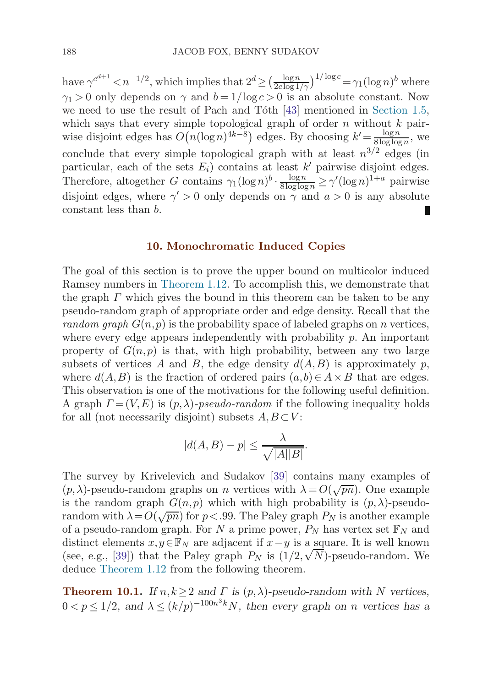<span id="page-35-0"></span>have  $\gamma^{c^{d+1}} < n^{-1/2}$ , which implies that  $2^d \geq \left(\frac{\log n}{2c \log 1/\gamma}\right)^{1/\log c} = \gamma_1 (\log n)^b$  where  $\gamma_1 > 0$  only depends on  $\gamma$  and  $b = 1/\log c > 0$  is an absolute constant. Now we need to use the result of Pach and Tóth [[43\]](#page-42-0) mentioned in [Section 1.5](#page-8-0), which says that every simple topological graph of order  $n$  without  $k$  pairwise disjoint edges has  $O(n(\log n)^{4k-8})$  edges. By choosing  $k' = \frac{\log n}{8 \log \log n}$ , we conclude that every simple topological graph with at least  $n^{3/2}$  edges (in particular, each of the sets  $E_i$ ) contains at least k' pairwise disjoint edges. Therefore, altogether G contains  $\gamma_1(\log n)^b \cdot \frac{\log n}{8 \log \log n} \ge \gamma'(\log n)^{1+a}$  pairwise disjoint edges, where  $\gamma' > 0$  only depends on  $\gamma$  and  $a > 0$  is any absolute constant less than b.

## **10. Monochromatic Induced Copies**

The goal of this section is to prove the upper bound on multicolor induced Ramsey numbers in [Theorem 1.12](#page-10-0). To accomplish this, we demonstrate that the graph  $\Gamma$  which gives the bound in this theorem can be taken to be any pseudo-random graph of appropriate order and edge density. Recall that the random graph  $G(n, p)$  is the probability space of labeled graphs on n vertices, where every edge appears independently with probability  $p$ . An important property of  $G(n,p)$  is that, with high probability, between any two large subsets of vertices A and B, the edge density  $d(A, B)$  is approximately p, where  $d(A, B)$  is the fraction of ordered pairs  $(a, b) \in A \times B$  that are edges. This observation is one of the motivations for the following useful definition. A graph  $\Gamma = (V, E)$  is  $(p, \lambda)$ -pseudo-random if the following inequality holds for all (not necessarily disjoint) subsets  $A, B \subset V$ :

$$
|d(A,B) - p| \le \frac{\lambda}{\sqrt{|A||B|}}.
$$

The survey by Krivelevich and Sudakov [\[39\]](#page-42-0) contains many examples of The sarvey by Krivetevien and Budakov [BB] contains many examples of  $(p, \lambda)$ -pseudo-random graphs on *n* vertices with  $\lambda = O(\sqrt{pn})$ . One example is the random graph  $G(n, p)$  which with high probability is  $(p, \lambda)$ -pseudorandom with  $\lambda = O(\sqrt{pn})$  for  $p < .99$ . The Paley graph  $P_N$  is another example of a pseudo-random graph. For N a prime power,  $P_N$  has vertex set  $\mathbb{F}_N$  and distinct elements  $x, y \in \mathbb{F}_N$  are adjacent if  $x-y$  is a square. It is well known distinct elements  $x, y \in \mathbb{F}_N$  are adjacent if  $x - y$  is a square. It is well known<br>(see, e.g., [[39\]](#page-42-0)) that the Paley graph  $P_N$  is  $(1/2, \sqrt{N})$ -pseudo-random. We deduce [Theorem 1.12](#page-10-0) from the following theorem.

**Theorem 10.1.** *If*  $n, k \geq 2$  *and*  $\Gamma$  *is*  $(p, \lambda)$ *-pseudo-random with* N *vertices,*  $0 < p \leq 1/2$ , and  $\lambda \leq (k/p)^{-100n^3k}N$ , then every graph on *n* vertices has a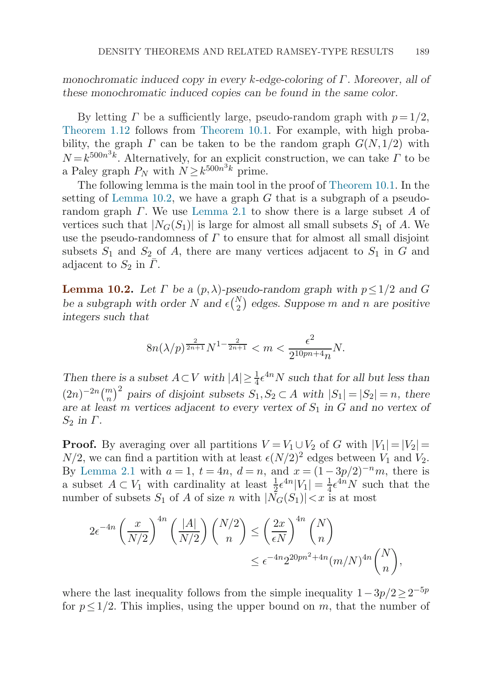<span id="page-36-0"></span>*monochromatic induced copy in every* k*-edge-coloring of* Γ*. Moreover, all of these monochromatic induced copies can be found in the same color.*

By letting  $\Gamma$  be a sufficiently large, pseudo-random graph with  $p = 1/2$ , [Theorem 1.12](#page-10-0) follows from [Theorem 10.1.](#page-35-0) For example, with high probability, the graph  $\Gamma$  can be taken to be the random graph  $G(N,1/2)$  with  $N = k^{500n^3k}$ . Alternatively, for an explicit construction, we can take  $\Gamma$  to be a Paley graph  $P_N$  with  $N > k^{500n^3k}$  prime.

The following lemma is the main tool in the proof of [Theorem 10.1](#page-35-0). In the setting of Lemma 10.2, we have a graph  $G$  that is a subgraph of a pseudorandom graph  $\Gamma$ . We use [Lemma 2.1](#page-12-0) to show there is a large subset A of vertices such that  $|N_G(S_1)|$  is large for almost all small subsets  $S_1$  of A. We use the pseudo-randomness of  $\Gamma$  to ensure that for almost all small disjoint subsets  $S_1$  and  $S_2$  of A, there are many vertices adjacent to  $S_1$  in G and adjacent to  $S_2$  in  $\Gamma$ .

**Lemma 10.2.** Let  $\Gamma$  be a  $(p, \lambda)$ -pseudo-random graph with  $p \leq 1/2$  and G be a subgraph with order  $N$  and  $\epsilon \binom{N}{2}$  edges. Suppose m and n are positive *integers such that*

$$
8n(\lambda/p)^{\frac{2}{2n+1}}N^{1-\frac{2}{2n+1}} < m < \frac{\epsilon^2}{2^{10pn+4}n}N.
$$

*Then there is a subset*  $A \subset V$  *with*  $|A| \geq \frac{1}{4} \epsilon^{4n} N$  *such that for all but less than*  $(2n)^{-2n} {m \choose n}^2$  pairs of disjoint subsets  $S_1, S_2 \subset A$  with  $|S_1| = |S_2| = n$ , there *are at least m vertices adjacent to every vertex of*  $S_1$  *in* G *and no vertex of*  $S_2$  *in*  $\Gamma$ *.* 

**Proof.** By averaging over all partitions  $V = V_1 \cup V_2$  of G with  $|V_1| = |V_2|$  $N/2$ , we can find a partition with at least  $\epsilon (N/2)^2$  edges between  $V_1$  and  $V_2$ . By [Lemma 2.1](#page-12-0) with  $a = 1$ ,  $t = 4n$ ,  $d = n$ , and  $x = (1 - 3p/2)^{-n}m$ , there is a subset  $A \subset V_1$  with cardinality at least  $\frac{1}{2} \epsilon^{4n} |V_1| = \frac{1}{4} \epsilon^{4n} N$  such that the number of subsets  $S_1$  of A of size n with  $|N_G(S_1)| < x$  is at most

$$
2\epsilon^{-4n} \left(\frac{x}{N/2}\right)^{4n} \left(\frac{|A|}{N/2}\right) {N/2 \choose n} \le \left(\frac{2x}{\epsilon N}\right)^{4n} {N \choose n}
$$
  

$$
\le \epsilon^{-4n} 2^{20pn^2 + 4n} (m/N)^{4n} {N \choose n},
$$

where the last inequality follows from the simple inequality  $1-3p/2\geq 2^{-5p}$ for  $p \leq 1/2$ . This implies, using the upper bound on m, that the number of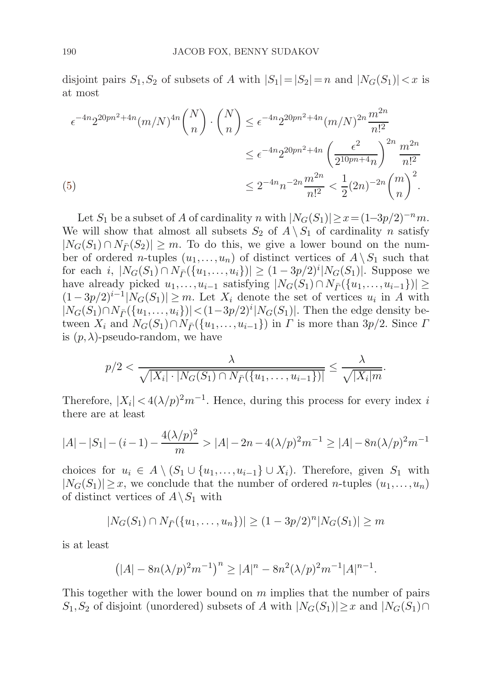<span id="page-37-0"></span>disjoint pairs  $S_1, S_2$  of subsets of A with  $|S_1|=|S_2|=n$  and  $|N_G(S_1)|< x$  is at most

$$
\epsilon^{-4n} 2^{20pn^2 + 4n} (m/N)^{4n} {N \choose n} \cdot {N \choose n} \le \epsilon^{-4n} 2^{20pn^2 + 4n} (m/N)^{2n} \frac{m^{2n}}{n!^2}
$$
  

$$
\le \epsilon^{-4n} 2^{20pn^2 + 4n} \left(\frac{\epsilon^2}{2^{10pn + 4n}}\right)^{2n} \frac{m^{2n}}{n!^2}
$$
  
(5)  

$$
\le 2^{-4n} n^{-2n} \frac{m^{2n}}{n!^2} < \frac{1}{2} (2n)^{-2n} {m \choose n}^2.
$$

Let  $S_1$  be a subset of A of cardinality n with  $|N_G(S_1)| \geq x = (1-3p/2)^{-n}m$ . We will show that almost all subsets  $S_2$  of  $A \setminus S_1$  of cardinality n satisfy  $|N_G(S_1) \cap N_{\overline{P}}(S_2)| \geq m$ . To do this, we give a lower bound on the number of ordered *n*-tuples  $(u_1,...,u_n)$  of distinct vertices of  $A \setminus S_1$  such that for each *i*,  $|N_G(S_1) \cap N_{\bar{F}}(\{u_1, \ldots, u_i\})| \ge (1 - 3p/2)^i |N_G(S_1)|$ . Suppose we have already picked  $u_1,\ldots,u_{i-1}$  satisfying  $|N_G(S_1) \cap N_{\overline{P}}(\{u_1,\ldots,u_{i-1}\})|$  ≥  $(1-3p/2)^{i-1}|N_G(S_1)| \geq m$ . Let  $X_i$  denote the set of vertices  $u_i$  in A with  $|N_G(S_1) \cap N_{\overline{P}}(\{u_1, \ldots, u_i\})|$  <  $(1-3p/2)^i|N_G(S_1)|$ . Then the edge density between  $X_i$  and  $N_G(S_1) \cap N_{\overline{P}}(\{u_1,\ldots,u_{i-1}\})$  in  $\Gamma$  is more than 3p/2. Since  $\Gamma$ is  $(p, \lambda)$ -pseudo-random, we have

$$
p/2 < \frac{\lambda}{\sqrt{|X_i| \cdot |N_G(S_1) \cap N_{\overline{\Gamma}}(\{u_1, \ldots, u_{i-1}\})|}} \leq \frac{\lambda}{\sqrt{|X_i|m}}.
$$

Therefore,  $|X_i| < 4(\lambda/p)^2 m^{-1}$ . Hence, during this process for every index i there are at least

$$
|A| - |S_1| - (i - 1) - \frac{4(\lambda/p)^2}{m} > |A| - 2n - 4(\lambda/p)^2 m^{-1} \ge |A| - 8n(\lambda/p)^2 m^{-1}
$$

choices for  $u_i \in A \setminus (S_1 \cup \{u_1,\ldots,u_{i-1}\} \cup X_i)$ . Therefore, given  $S_1$  with  $|N_G(S_1)| \geq x$ , we conclude that the number of ordered *n*-tuples  $(u_1,...,u_n)$ of distinct vertices of  $A \setminus S_1$  with

$$
|N_G(S_1) \cap N_{\bar{P}}(\{u_1, \ldots, u_n\})| \ge (1 - 3p/2)^n |N_G(S_1)| \ge m
$$

is at least

$$
(|A| - 8n(\lambda/p)^{2}m^{-1})^{n} \geq |A|^{n} - 8n^{2}(\lambda/p)^{2}m^{-1}|A|^{n-1}.
$$

This together with the lower bound on  $m$  implies that the number of pairs  $S_1, S_2$  of disjoint (unordered) subsets of A with  $|N_G(S_1)| \geq x$  and  $|N_G(S_1) \cap$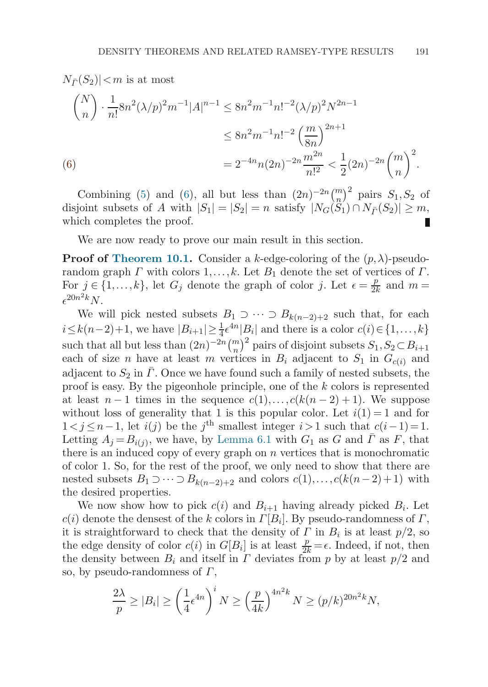$$
N_{\bar{P}}(S_2)| < m \text{ is at most}
$$
\n
$$
\binom{N}{n} \cdot \frac{1}{n!} 8n^2 (\lambda/p)^2 m^{-1} |A|^{n-1} \le 8n^2 m^{-1} n!^{-2} (\lambda/p)^2 N^{2n-1}
$$
\n
$$
\le 8n^2 m^{-1} n!^{-2} \left(\frac{m}{8n}\right)^{2n+1}
$$
\n(6)\n
$$
= 2^{-4n} n (2n)^{-2n} \frac{m^{2n}}{n!^2} < \frac{1}{2} (2n)^{-2n} \binom{m}{n}^2.
$$

Combining [\(5\)](#page-37-0) and (6), all but less than  $(2n)^{-2n}\binom{m}{n}^2$  pairs  $S_1, S_2$  of disjoint subsets of A with  $|S_1| = |S_2| = n$  satisfy  $|N_G(\widetilde{S}_1) \cap N_{\overline{P}}(S_2)| \geq m$ , which completes the proof.

We are now ready to prove our main result in this section.

**Proof of [Theorem 10.1.](#page-35-0)** Consider a k-edge-coloring of the  $(p, \lambda)$ -pseudorandom graph  $\Gamma$  with colors  $1, \ldots, k$ . Let  $B_1$  denote the set of vertices of  $\Gamma$ . For  $j \in \{1, ..., k\}$ , let  $G_j$  denote the graph of color j. Let  $\epsilon = \frac{p}{2k}$  and  $m =$  $\epsilon^{20n^2k}N$ .

We will pick nested subsets  $B_1 \supset \cdots \supset B_{k(n-2)+2}$  such that, for each  $i \leq k(n-2)+1$ , we have  $|B_{i+1}| \geq \frac{1}{4} \epsilon^{4n} |B_{i}|$  and there is a color  $c(i) \in \{1, ..., k\}$ such that all but less than  $(2n)^{-2n}\binom{m}{n}^2$  pairs of disjoint subsets  $S_1, S_2 \subset B_{i+1}$ each of size n have at least m vertices in  $B_i$  adjacent to  $S_1$  in  $G_{c(i)}$  and adjacent to  $S_2$  in  $\Gamma$ . Once we have found such a family of nested subsets, the proof is easy. By the pigeonhole principle, one of the k colors is represented at least  $n-1$  times in the sequence  $c(1),\ldots,c(k(n-2)+1)$ . We suppose without loss of generality that 1 is this popular color. Let  $i(1) = 1$  and for  $1 < j \leq n-1$ , let  $i(j)$  be the j<sup>th</sup> smallest integer  $i>1$  such that  $c(i-1)=1$ . Letting  $A_j = B_{i(j)}$ , we have, by [Lemma 6.1](#page-23-0) with  $G_1$  as G and  $\overline{\Gamma}$  as F, that there is an induced copy of every graph on  $n$  vertices that is monochromatic of color 1. So, for the rest of the proof, we only need to show that there are nested subsets  $B_1 \supset \cdots \supset B_{k(n-2)+2}$  and colors  $c(1),\ldots,c(k(n-2)+1)$  with the desired properties.

We now show how to pick  $c(i)$  and  $B_{i+1}$  having already picked  $B_i$ . Let  $c(i)$  denote the densest of the k colors in  $\Gamma[B_i]$ . By pseudo-randomness of  $\Gamma$ , it is straightforward to check that the density of  $\Gamma$  in  $B_i$  is at least  $p/2$ , so the edge density of color  $c(i)$  in  $G[B_i]$  is at least  $\frac{p}{2k} = \epsilon$ . Indeed, if not, then the density between  $B_i$  and itself in  $\Gamma$  deviates from p by at least  $p/2$  and so, by pseudo-randomness of  $\Gamma$ ,

$$
\frac{2\lambda}{p} \ge |B_i| \ge \left(\frac{1}{4}\epsilon^{4n}\right)^i N \ge \left(\frac{p}{4k}\right)^{4n^2k} N \ge (p/k)^{20n^2k} N,
$$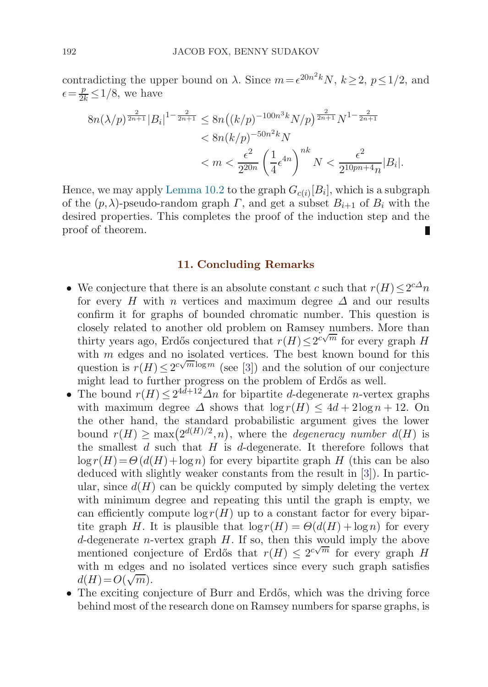contradicting the upper bound on  $\lambda$ . Since  $m = \epsilon^{20n^2 k} N$ ,  $k \ge 2$ ,  $p \le 1/2$ , and  $\epsilon = \frac{p}{2k} \leq 1/8$ , we have

$$
8n(\lambda/p)^{\frac{2}{2n+1}}|B_i|^{1-\frac{2}{2n+1}} \le 8n((k/p)^{-100n^3k}N/p)^{\frac{2}{2n+1}}N^{1-\frac{2}{2n+1}}
$$
  

$$
< 8n(k/p)^{-50n^2k}N
$$
  

$$
< m < \frac{\epsilon^2}{2^{20n}} \left(\frac{1}{4}\epsilon^{4n}\right)^{nk}N < \frac{\epsilon^2}{2^{10pn+4}n}|B_i|.
$$

Hence, we may apply [Lemma 10.2](#page-36-0) to the graph  $G_{c(i)}[B_i]$ , which is a subgraph of the  $(p, \lambda)$ -pseudo-random graph  $\Gamma$ , and get a subset  $B_{i+1}$  of  $B_i$  with the desired properties. This completes the proof of the induction step and the proof of theorem.

#### **11. Concluding Remarks**

- We conjecture that there is an absolute constant c such that  $r(H) \leq 2^{c\Delta}n$ for every H with n vertices and maximum degree  $\Delta$  and our results confirm it for graphs of bounded chromatic number. This question is closely related to another old problem on Ramsey numbers. More than thirty years ago, Erdős conjectured that  $r(H) \leq 2^{c\sqrt{m}}$  for every graph H with m edges and no isolated vertices. The best known bound for this question is  $r(H) \leq 2^{c\sqrt{m}\log m}$  (see [\[3\]](#page-41-0)) and the solution of our conjecture might lead to further progress on the problem of Erdős as well.
- The bound  $r(H) \leq 2^{4d+12} \Delta n$  for bipartite d-degenerate n-vertex graphs with maximum degree  $\Delta$  shows that  $\log r(H) \leq 4d + 2\log n + 12$ . On the other hand, the standard probabilistic argument gives the lower bound  $r(H) \ge \max(2^{d(H)/2}, n)$ , where the *degeneracy number*  $d(H)$  is the smallest  $d$  such that  $H$  is  $d$ -degenerate. It therefore follows that  $\log r(H) = \Theta(d(H) + \log n)$  for every bipartite graph H (this can be also deduced with slightly weaker constants from the result in [\[3](#page-41-0)]). In particular, since  $d(H)$  can be quickly computed by simply deleting the vertex with minimum degree and repeating this until the graph is empty, we can efficiently compute  $\log r(H)$  up to a constant factor for every bipartite graph H. It is plausible that  $\log r(H) = \Theta(d(H) + \log n)$  for every d-degenerate *n*-vertex graph  $H$ . If so, then this would imply the above mentioned conjecture of Erdős that  $r(H) \leq 2^{c\sqrt{m}}$  for every graph H with m edges and no isolated vertices since every such graph satisfies with in edges  $d(H) = O(\sqrt{m}).$
- The exciting conjecture of Burr and Erdős, which was the driving force behind most of the research done on Ramsey numbers for sparse graphs, is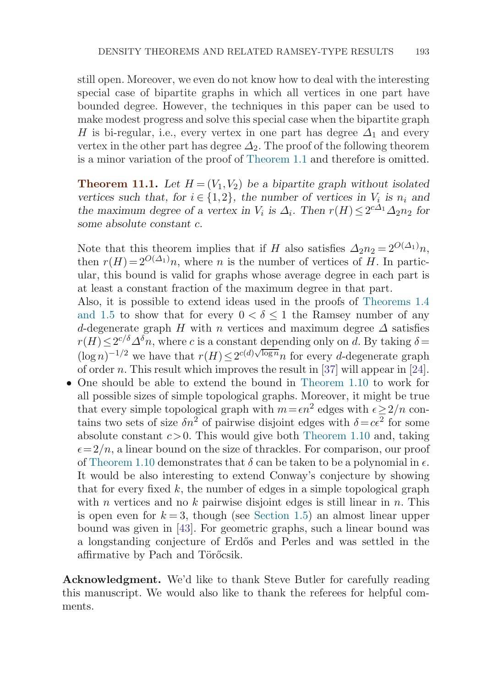still open. Moreover, we even do not know how to deal with the interesting special case of bipartite graphs in which all vertices in one part have bounded degree. However, the techniques in this paper can be used to make modest progress and solve this special case when the bipartite graph H is bi-regular, i.e., every vertex in one part has degree  $\Delta_1$  and every vertex in the other part has degree  $\Delta_2$ . The proof of the following theorem is a minor variation of the proof of [Theorem 1.1](#page-3-0) and therefore is omitted.

**Theorem 11.1.** Let  $H = (V_1, V_2)$  be a bipartite graph without isolated *vertices such that, for*  $i \in \{1,2\}$ , the number of vertices in  $V_i$  is  $n_i$  and *the maximum degree of a vertex in*  $V_i$  *is*  $\Delta_i$ *. Then*  $r(H) \leq 2^{c\Delta_1} \Delta_2 n_2$  *for some absolute constant* c*.*

Note that this theorem implies that if H also satisfies  $\Delta_2 n_2 = 2^{O(\Delta_1)} n$ , then  $r(H) = 2^{O(\Delta_1)}n$ , where n is the number of vertices of H. In particular, this bound is valid for graphs whose average degree in each part is at least a constant fraction of the maximum degree in that part.

Also, it is possible to extend ideas used in the proofs of [Theorems 1.4](#page-4-0) [and 1.5](#page-5-0) to show that for every  $0 < \delta \leq 1$  the Ramsey number of any d-degenerate graph H with n vertices and maximum degree  $\Delta$  satisfies  $r(H) \leq 2^{c/\delta} \Delta^{\delta} n$ , where c is a constant depending only on d. By taking  $\delta =$  $\sum_{n=1}^{\infty}$  and  $\sum_{n=1}^{\infty}$  we have that  $r(H) \leq 2^{c(d)\sqrt{\log n}} n$  for every d-degenerate graph of order *n*. This result which improves the result in [[37](#page-42-0)] will appear in [\[24](#page-42-0)].

• One should be able to extend the bound in [Theorem 1.10](#page-9-0) to work for all possible sizes of simple topological graphs. Moreover, it might be true that every simple topological graph with  $m = \epsilon n^2$  edges with  $\epsilon \geq 2/n$  contains two sets of size  $\delta n^2$  of pairwise disjoint edges with  $\delta = c\epsilon^2$  for some absolute constant  $c > 0$ . This would give both [Theorem 1.10](#page-9-0) and, taking  $\epsilon = 2/n$ , a linear bound on the size of thrackles. For comparison, our proof of [Theorem 1.10](#page-9-0) demonstrates that  $\delta$  can be taken to be a polynomial in  $\epsilon$ . It would be also interesting to extend Conway's conjecture by showing that for every fixed  $k$ , the number of edges in a simple topological graph with *n* vertices and no  $k$  pairwise disjoint edges is still linear in  $n$ . This is open even for  $k = 3$ , though (see [Section 1.5\)](#page-8-0) an almost linear upper bound was given in [\[43\]](#page-42-0). For geometric graphs, such a linear bound was a longstanding conjecture of Erd˝os and Perles and was settled in the affirmative by Pach and Törőcsik.

**Acknowledgment.** We'd like to thank Steve Butler for carefully reading this manuscript. We would also like to thank the referees for helpful comments.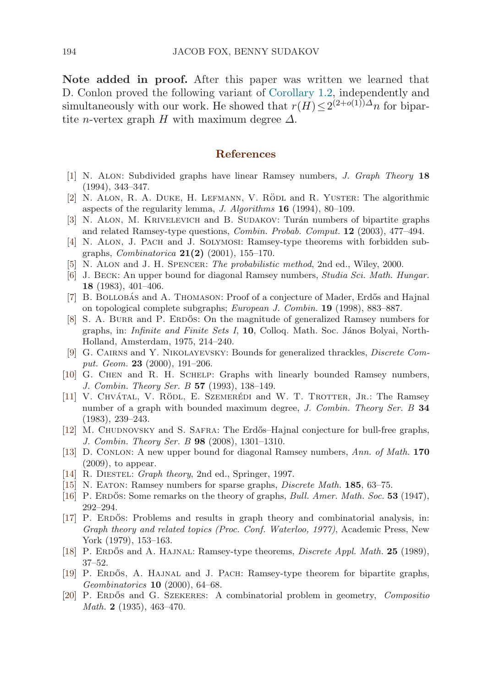<span id="page-41-0"></span>**Note added in proof.** After this paper was written we learned that D. Conlon proved the following variant of [Corollary 1.2](#page-3-0), independently and simultaneously with our work. He showed that  $r(H) \leq 2^{(2+o(1))\Delta} n$  for bipartite *n*-vertex graph H with maximum degree  $\Delta$ .

#### **References**

- [1] N. Alon: Subdivided graphs have linear Ramsey numbers, J. Graph Theory **18** (1994), 343–347.
- [2] N. ALON, R. A. DUKE, H. LEFMANN, V. RÖDL and R. YUSTER: The algorithmic aspects of the regularity lemma, J. Algorithms **16** (1994), 80–109.
- [3] N. ALON, M. KRIVELEVICH and B. SUDAKOV: Turán numbers of bipartite graphs and related Ramsey-type questions, Combin. Probab. Comput. **12** (2003), 477–494.
- [4] N. Alon, J. Pach and J. Solymosi: Ramsey-type theorems with forbidden subgraphs, Combinatorica **21(2)** (2001), 155–170.
- [5] N. Alon and J. H. Spencer: The probabilistic method, 2nd ed., Wiley, 2000.
- [6] J. Beck: An upper bound for diagonal Ramsey numbers, Studia Sci. Math. Hungar. **18** (1983), 401–406.
- [7] B. BOLLOBÁS and A. THOMASON: Proof of a conjecture of Mader, Erdős and Hajnal on topological complete subgraphs; European J. Combin. **19** (1998), 883–887.
- [8] S. A. BURR and P. ERDOS: On the magnitude of generalized Ramsey numbers for graphs, in: *Infinite and Finite Sets I*, 10, Colloq. Math. Soc. János Bolyai, North-Holland, Amsterdam, 1975, 214–240.
- [9] G. Cairns and Y. Nikolayevsky: Bounds for generalized thrackles, Discrete Comput. Geom. **23** (2000), 191–206.
- [10] G. CHEN and R. H. SCHELP: Graphs with linearly bounded Ramsey numbers, J. Combin. Theory Ser. B **57** (1993), 138–149.
- [11] V. CHVÁTAL, V. RÖDL, E. SZEMERÉDI and W. T. TROTTER, JR.: The Ramsey number of a graph with bounded maximum degree, J. Combin. Theory Ser. B **34** (1983), 239–243.
- [12] M. CHUDNOVSKY and S. SAFRA: The Erdős–Hajnal conjecture for bull-free graphs, J. Combin. Theory Ser. B **98** (2008), 1301–1310.
- [13] D. Conlon: A new upper bound for diagonal Ramsey numbers, Ann. of Math. **170** (2009), to appear.
- [14] R. DIESTEL: *Graph theory*, 2nd ed., Springer, 1997.
- [15] N. Eaton: Ramsey numbers for sparse graphs, Discrete Math. **185**, 63–75.
- [16] P. ERDOS: Some remarks on the theory of graphs, *Bull. Amer. Math. Soc.* **53** (1947), 292–294.
- [17] P. ERDOS: Problems and results in graph theory and combinatorial analysis, in: Graph theory and related topics (Proc. Conf. Waterloo, 1977), Academic Press, New York (1979), 153–163.
- [18] P. Erdos˝ and A. Hajnal: Ramsey-type theorems, Discrete Appl. Math. **25** (1989), 37–52.
- [19] P. ERDŐS, A. HAJNAL and J. PACH: Ramsey-type theorem for bipartite graphs, Geombinatorics **10** (2000), 64–68.
- [20] P. ERDÓS and G. SZEKERES: A combinatorial problem in geometry, Compositio Math. **2** (1935), 463–470.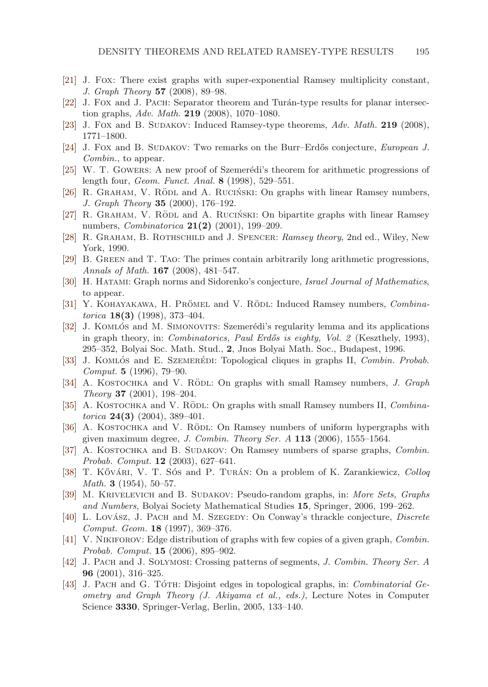- <span id="page-42-0"></span>[21] J. Fox: There exist graphs with super-exponential Ramsey multiplicity constant, J. Graph Theory **57** (2008), 89–98.
- [22] J. Fox and J. Pach: Separator theorem and Turán-type results for planar intersection graphs, Adv. Math. **219** (2008), 1070–1080.
- [23] J. Fox and B. SUDAKOV: Induced Ramsey-type theorems, Adv. Math. **219** (2008), 1771–1800.
- [24] J. Fox and B. SUDAKOV: Two remarks on the Burr–Erdős conjecture, *European J.* Combin., to appear.
- [25] W. T. GOWERS: A new proof of Szemerédi's theorem for arithmetic progressions of length four, Geom. Funct. Anal. **8** (1998), 529–551.
- [26] R. GRAHAM, V. RÖDL and A. RUCIŃSKI: On graphs with linear Ramsey numbers, J. Graph Theory **35** (2000), 176–192.
- [27] R. GRAHAM, V. RÖDL and A. RUCIŃSKI: On bipartite graphs with linear Ramsey numbers, Combinatorica **21(2)** (2001), 199–209.
- [28] R. Graham, B. Rothschild and J. Spencer: Ramsey theory, 2nd ed., Wiley, New York, 1990.
- [29] B. Green and T. Tao: The primes contain arbitrarily long arithmetic progressions, Annals of Math. **167** (2008), 481–547.
- [30] H. Hatami: Graph norms and Sidorenko's conjecture, Israel Journal of Mathematics, to appear.
- [31] Y. KOHAYAKAWA, H. PRÖMEL and V. RÖDL: Induced Ramsey numbers, Combinatorica **18(3)** (1998), 373–404.
- [32] J. KOMLÓS and M. SIMONOVITS: Szemerédi's regularity lemma and its applications in graph theory, in: *Combinatorics*, *Paul Erdős is eighty, Vol. 2* (Keszthely, 1993), 295–352, Bolyai Soc. Math. Stud., **2**, Jnos Bolyai Math. Soc., Budapest, 1996.
- [33] J. KOMLÓS and E. SZEMERÉDI: Topological cliques in graphs II, Combin. Probab. Comput. **5** (1996), 79–90.
- [34] A. KOSTOCHKA and V. RÖDL: On graphs with small Ramsey numbers, J. Graph Theory **37** (2001), 198–204.
- [35] A. KOSTOCHKA and V. RÖDL: On graphs with small Ramsey numbers II, Combinatorica **24(3)** (2004), 389–401.
- [36] A. KOSTOCHKA and V. RÖDL: On Ramsey numbers of uniform hypergraphs with given maximum degree, J. Combin. Theory Ser. A **113** (2006), 1555–1564.
- [37] A. KOSTOCHKA and B. SUDAKOV: On Ramsey numbers of sparse graphs, Combin. Probab. Comput. **12** (2003), 627–641.
- [38] T. Kővári, V. T. Sós and P. Turán: On a problem of K. Zarankiewicz, Colloq Math. **3** (1954), 50–57.
- [39] M. KRIVELEVICH and B. SUDAKOV: Pseudo-random graphs, in: More Sets, Graphs and Numbers, Bolyai Society Mathematical Studies **15**, Springer, 2006, 199–262.
- [40] L. Lovász, J. Pach and M. Szegedy: On Conway's thrackle conjecture, Discrete Comput. Geom. **18** (1997), 369–376.
- [41] V. NIKIFOROV: Edge distribution of graphs with few copies of a given graph, *Combin.* Probab. Comput. **15** (2006), 895–902.
- [42] J. PACH and J. SOLYMOSI: Crossing patterns of segments, J. Combin. Theory Ser. A **96** (2001), 316–325.
- [43] J. PACH and G. TÓTH: Disjoint edges in topological graphs, in: Combinatorial Geometry and Graph Theory (J. Akiyama et al., eds.), Lecture Notes in Computer Science **3330**, Springer-Verlag, Berlin, 2005, 133–140.